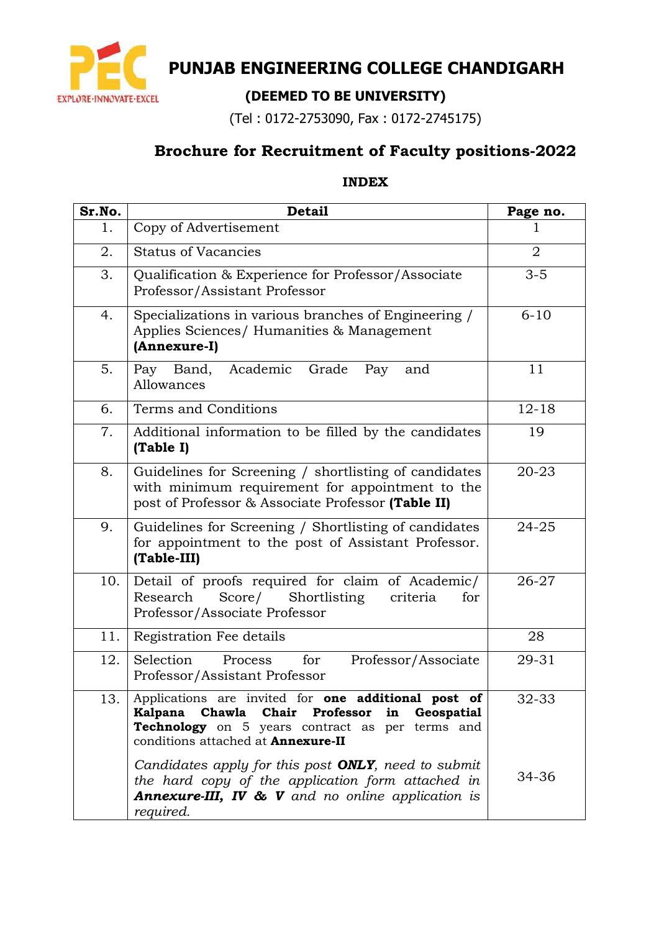

# **PUNJAB ENGINEERING COLLEGE CHANDIGARH**

# **(DEEMED TO BE UNIVERSITY)**

(Tel : 0172-2753090, Fax : 0172-2745175)

# **Brochure for Recruitment of Faculty positions-2022**

#### **INDEX**

| Sr.No. | <b>Detail</b>                                                                                                                                                                                       | Page no.       |
|--------|-----------------------------------------------------------------------------------------------------------------------------------------------------------------------------------------------------|----------------|
| 1.     | Copy of Advertisement                                                                                                                                                                               |                |
| 2.     | <b>Status of Vacancies</b>                                                                                                                                                                          | $\overline{2}$ |
| 3.     | Qualification & Experience for Professor/Associate<br>Professor/Assistant Professor                                                                                                                 | $3 - 5$        |
| 4.     | Specializations in various branches of Engineering /<br>Applies Sciences/ Humanities & Management<br>(Annexure-I)                                                                                   | $6 - 10$       |
| 5.     | Academic<br>Grade<br>Pay Band,<br>Pay<br>and<br>Allowances                                                                                                                                          | 11             |
| 6.     | Terms and Conditions                                                                                                                                                                                | $12 - 18$      |
| 7.     | Additional information to be filled by the candidates<br>(Table I)                                                                                                                                  | 19             |
| 8.     | Guidelines for Screening / shortlisting of candidates<br>with minimum requirement for appointment to the<br>post of Professor & Associate Professor (Table II)                                      | $20 - 23$      |
| 9.     | Guidelines for Screening / Shortlisting of candidates<br>for appointment to the post of Assistant Professor.<br>(Table-III)                                                                         | 24-25          |
| 10.    | Detail of proofs required for claim of Academic/<br>Score/<br>Shortlisting<br>Research<br>criteria<br>for<br>Professor/Associate Professor                                                          | 26-27          |
| 11.    | Registration Fee details                                                                                                                                                                            | 28             |
| 12.    | Selection<br>for<br>Professor/Associate<br>Process<br>Professor/Assistant Professor                                                                                                                 | 29-31          |
| 13.    | Applications are invited for one additional post of<br>Kalpana Chawla Chair Professor in Geospatial<br>Technology on 5 years contract as per terms and<br>conditions attached at <b>Annexure-II</b> | 32-33          |
|        | Candidates apply for this post ONLY, need to submit<br>the hard copy of the application form attached in<br><b>Annexure-III, IV &amp; V</b> and no online application is<br>required.               | 34-36          |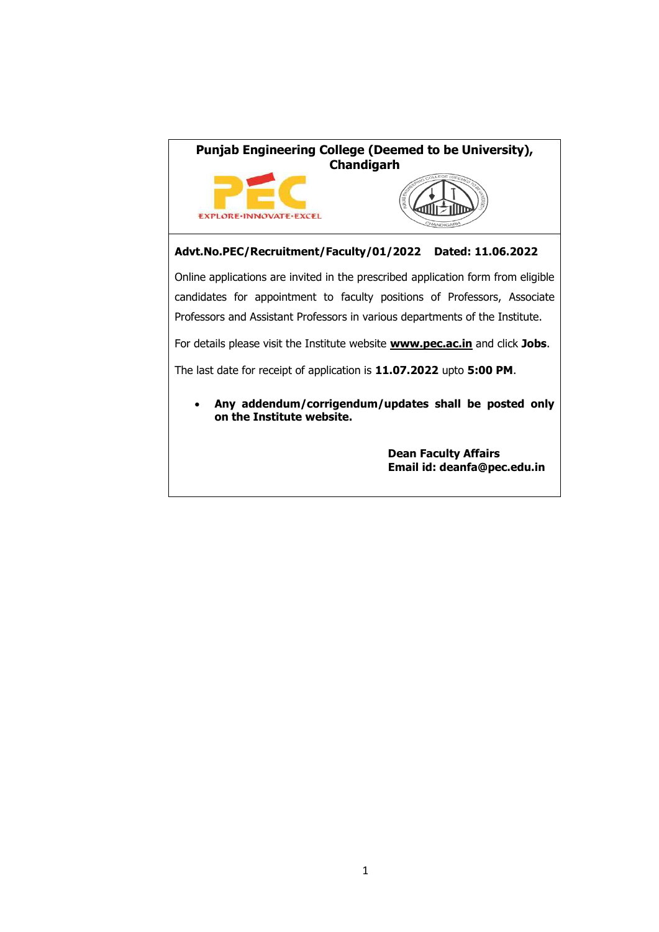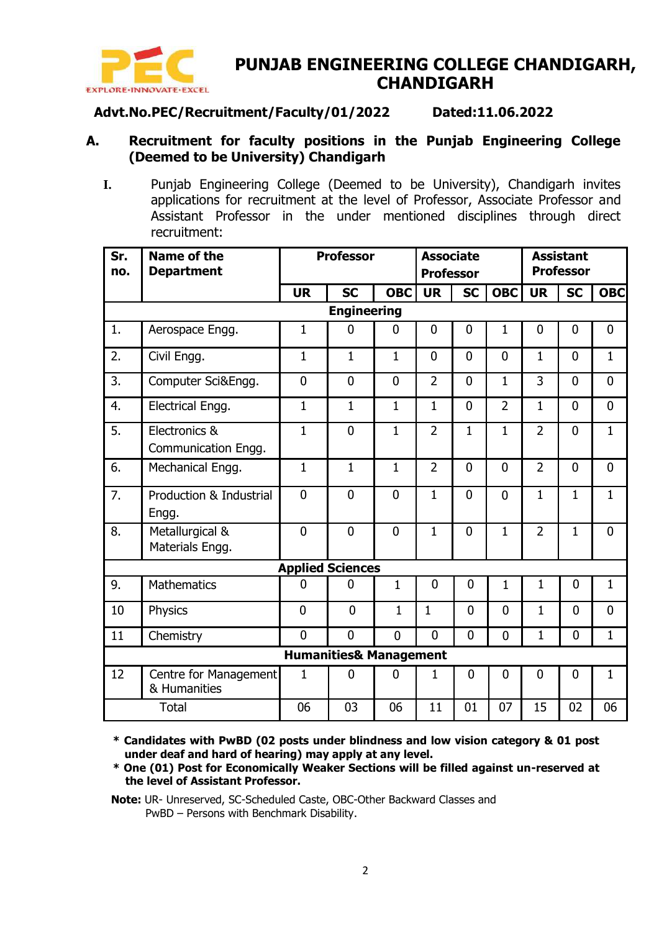

## **PUNJAB ENGINEERING COLLEGE CHANDIGARH, CHANDIGARH**

#### **Advt.No.PEC/Recruitment/Faculty/01/2022 Dated:11.06.2022**

#### **A. Recruitment for faculty positions in the Punjab Engineering College (Deemed to be University) Chandigarh**

**I.** Punjab Engineering College (Deemed to be University), Chandigarh invites applications for recruitment at the level of Professor, Associate Professor and Assistant Professor in the under mentioned disciplines through direct recruitment:

| Sr.<br>no. | <b>Name of the</b><br><b>Department</b> |                         | <b>Professor</b>                  |                | <b>Associate</b><br><b>Professor</b> |                |                | <b>Assistant</b><br><b>Professor</b> |                |                |  |
|------------|-----------------------------------------|-------------------------|-----------------------------------|----------------|--------------------------------------|----------------|----------------|--------------------------------------|----------------|----------------|--|
|            |                                         | <b>UR</b>               | <b>SC</b>                         | <b>OBC</b>     | <b>UR</b>                            | <b>SC</b>      | OBC            | <b>SC</b><br><b>UR</b>               |                | <b>OBC</b>     |  |
|            |                                         |                         |                                   |                |                                      |                |                |                                      |                |                |  |
|            | <b>Engineering</b>                      |                         |                                   |                |                                      |                |                |                                      |                |                |  |
| 1.         | Aerospace Engg.                         | $\mathbf{1}$            | $\overline{0}$                    | $\mathbf 0$    | $\overline{0}$                       | $\overline{0}$ | $\mathbf 1$    | $\mathbf 0$                          | $\mathbf 0$    | $\mathbf 0$    |  |
| 2.         | Civil Engg.                             | $\mathbf{1}$            | $\mathbf{1}$                      | $\mathbf{1}$   | $\mathbf{0}$                         | $\mathbf{0}$   | $\overline{0}$ | $\mathbf{1}$                         | $\mathbf{0}$   | $\mathbf{1}$   |  |
| 3.         | Computer Sci&Engg.                      | $\mathbf 0$             | $\overline{0}$                    | $\overline{0}$ | $\overline{2}$                       | $\mathbf{0}$   | $\mathbf{1}$   | 3                                    | $\mathbf{0}$   | $\overline{0}$ |  |
| 4.         | Electrical Engg.                        | $\mathbf{1}$            | $\mathbf{1}$                      | $\mathbf{1}$   | $\mathbf{1}$                         | $\overline{0}$ | $\overline{2}$ | $\mathbf{1}$                         | $\overline{0}$ | $\overline{0}$ |  |
| 5.         | Electronics &                           | $\mathbf{1}$            | $\overline{0}$                    | $\mathbf{1}$   | $\overline{2}$                       | $\mathbf 1$    | $\mathbf{1}$   | $\overline{2}$                       | $\mathbf{0}$   | $\mathbf 1$    |  |
|            | Communication Engg.                     |                         |                                   |                |                                      |                |                |                                      |                |                |  |
| 6.         | Mechanical Engg.                        | $\mathbf{1}$            | $\mathbf{1}$                      | $\mathbf{1}$   | $\overline{2}$                       | $\Omega$       | $\overline{0}$ | $\overline{2}$                       | $\overline{0}$ | $\overline{0}$ |  |
| 7.         | Production & Industrial                 | $\overline{0}$          | $\overline{0}$                    | $\overline{0}$ | $\mathbf{1}$                         | $\overline{0}$ | $\overline{0}$ | $\mathbf{1}$                         | 1              | $\mathbf{1}$   |  |
|            | Engg.                                   |                         |                                   |                |                                      |                |                |                                      |                |                |  |
| 8.         | Metallurgical &<br>Materials Engg.      | $\overline{0}$          | $\overline{0}$                    | $\mathbf 0$    | $\mathbf{1}$                         | $\overline{0}$ | $\mathbf 1$    | $\overline{2}$                       | $\mathbf 1$    | $\mathbf 0$    |  |
|            |                                         | <b>Applied Sciences</b> |                                   |                |                                      |                |                |                                      |                |                |  |
| 9.         | <b>Mathematics</b>                      | $\overline{0}$          | $\overline{0}$                    | $\mathbf{1}$   | 0                                    | $\mathbf 0$    | 1              | 1                                    | 0              | $\mathbf 1$    |  |
| 10         | Physics                                 | $\overline{0}$          | $\overline{0}$                    | $\mathbf 1$    | $\mathbf{1}$                         | $\mathbf{0}$   | $\overline{0}$ | $\mathbf{1}$                         | $\overline{0}$ | $\overline{0}$ |  |
| 11         | Chemistry                               | $\overline{0}$          | $\overline{0}$                    | $\overline{0}$ | $\overline{0}$                       | $\overline{0}$ | 0              | 1                                    | 0              | $\mathbf{1}$   |  |
|            |                                         |                         | <b>Humanities&amp; Management</b> |                |                                      |                |                |                                      |                |                |  |
| 12         | Centre for Management<br>& Humanities   | 1                       | 0                                 | $\mathbf 0$    | $\mathbf{1}$                         | 0              | 0              | $\mathbf 0$                          | 0              | $\mathbf{1}$   |  |
|            | <b>Total</b>                            | 06                      | 03                                | 06             | 11                                   | 01             | 07             | 15                                   | 02             | 06             |  |

**\* Candidates with PwBD (02 posts under blindness and low vision category & 01 post under deaf and hard of hearing) may apply at any level.**

**\* One (01) Post for Economically Weaker Sections will be filled against un-reserved at the level of Assistant Professor.**

**Note:** UR- Unreserved, SC-Scheduled Caste, OBC-Other Backward Classes and PwBD – Persons with Benchmark Disability.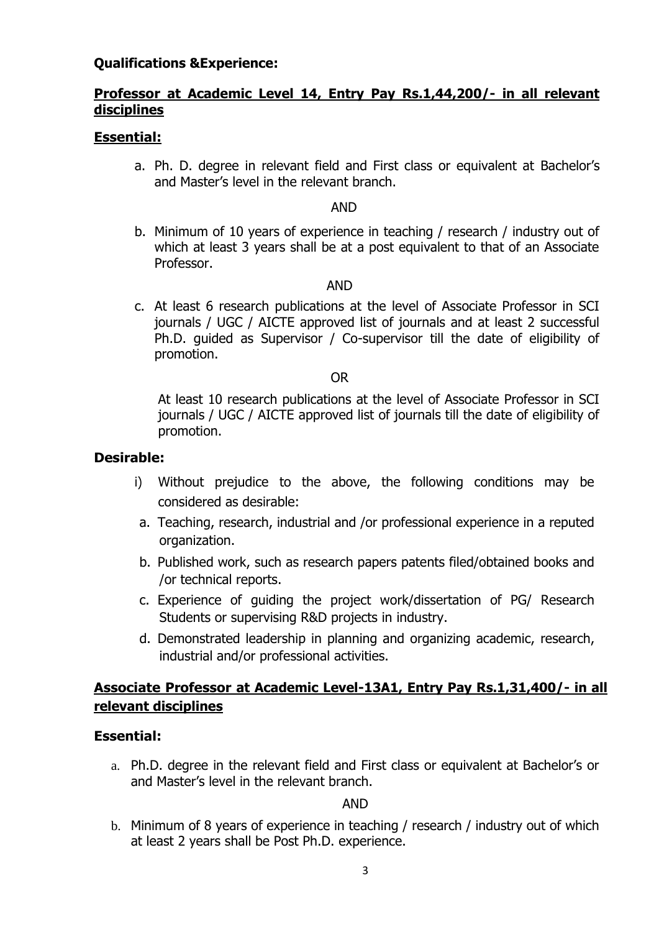#### **Qualifications &Experience:**

#### **Professor at Academic Level 14, Entry Pay Rs.1,44,200/- in all relevant disciplines**

#### **Essential:**

a. Ph. D. degree in relevant field and First class or equivalent at Bachelor's and Master's level in the relevant branch.

#### AND

b. Minimum of 10 years of experience in teaching / research / industry out of which at least 3 years shall be at a post equivalent to that of an Associate Professor.

#### AND

c. At least 6 research publications at the level of Associate Professor in SCI journals / UGC / AICTE approved list of journals and at least 2 successful Ph.D. guided as Supervisor / Co-supervisor till the date of eligibility of promotion.

#### OR

At least 10 research publications at the level of Associate Professor in SCI journals / UGC / AICTE approved list of journals till the date of eligibility of promotion.

#### **Desirable:**

- i) Without prejudice to the above, the following conditions may be considered as desirable:
- a. Teaching, research, industrial and /or professional experience in a reputed organization.
- b. Published work, such as research papers patents filed/obtained books and /or technical reports.
- c. Experience of guiding the project work/dissertation of PG/ Research Students or supervising R&D projects in industry.
- d. Demonstrated leadership in planning and organizing academic, research, industrial and/or professional activities.

#### **Associate Professor at Academic Level-13A1, Entry Pay Rs.1,31,400/- in all relevant disciplines**

#### **Essential:**

a. Ph.D. degree in the relevant field and First class or equivalent at Bachelor's or and Master's level in the relevant branch.

#### AND

b. Minimum of 8 years of experience in teaching / research / industry out of which at least 2 years shall be Post Ph.D. experience.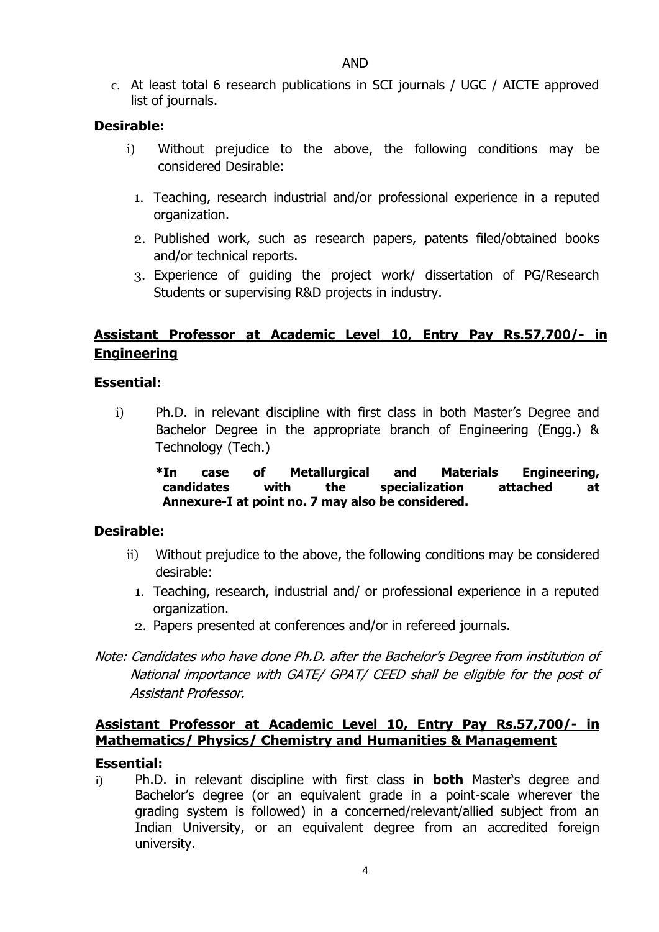c. At least total 6 research publications in SCI journals / UGC / AICTE approved list of journals.

#### **Desirable:**

- i) Without prejudice to the above, the following conditions may be considered Desirable:
	- 1. Teaching, research industrial and/or professional experience in a reputed organization.
	- 2. Published work, such as research papers, patents filed/obtained books and/or technical reports.
	- 3. Experience of guiding the project work/ dissertation of PG/Research Students or supervising R&D projects in industry.

#### **Assistant Professor at Academic Level 10, Entry Pay Rs.57,700/- in Engineering**

#### **Essential:**

i) Ph.D. in relevant discipline with first class in both Master's Degree and Bachelor Degree in the appropriate branch of Engineering (Engg.) & Technology (Tech.)

#### **\*In case of Metallurgical and Materials Engineering, candidates with the specialization attached at Annexure-I at point no. 7 may also be considered.**

#### **Desirable:**

- ii) Without prejudice to the above, the following conditions may be considered desirable:
	- 1. Teaching, research, industrial and/ or professional experience in a reputed organization.
	- 2. Papers presented at conferences and/or in refereed journals.
- Note: Candidates who have done Ph.D. after the Bachelor's Degree from institution of National importance with GATE/ GPAT/ CEED shall be eligible for the post of Assistant Professor.

#### **Assistant Professor at Academic Level 10, Entry Pay Rs.57,700/- in Mathematics/ Physics/ Chemistry and Humanities & Management**

#### **Essential:**

i) Ph.D. in relevant discipline with first class in **both** Master's degree and Bachelor's degree (or an equivalent grade in a point-scale wherever the grading system is followed) in a concerned/relevant/allied subject from an Indian University, or an equivalent degree from an accredited foreign university.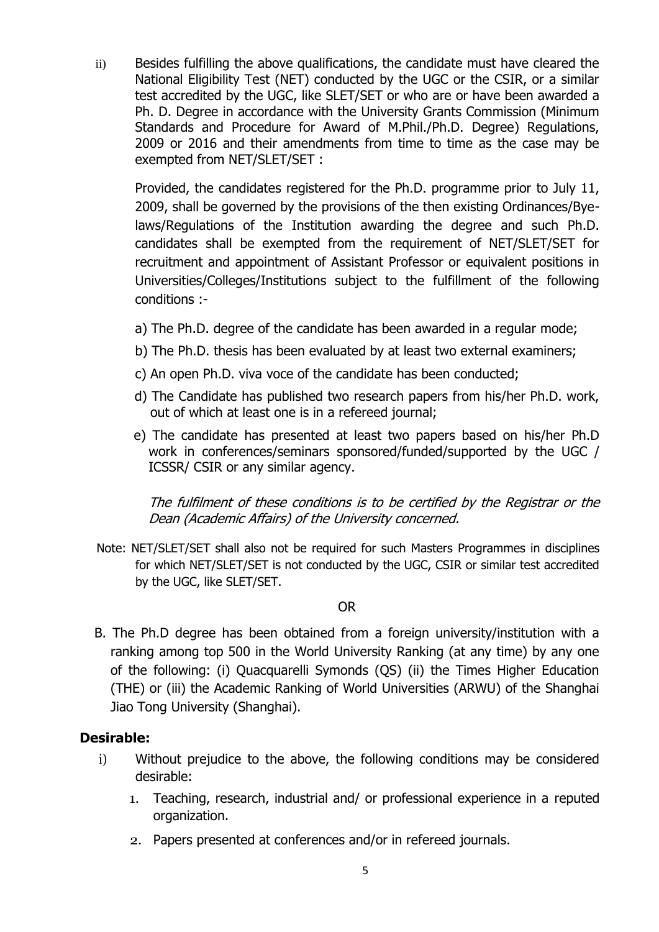ii) Besides fulfilling the above qualifications, the candidate must have cleared the National Eligibility Test (NET) conducted by the UGC or the CSIR, or a similar test accredited by the UGC, like SLET/SET or who are or have been awarded a Ph. D. Degree in accordance with the University Grants Commission (Minimum Standards and Procedure for Award of M.Phil./Ph.D. Degree) Regulations, 2009 or 2016 and their amendments from time to time as the case may be exempted from NET/SLET/SET :

Provided, the candidates registered for the Ph.D. programme prior to July 11, 2009, shall be governed by the provisions of the then existing Ordinances/Byelaws/Regulations of the Institution awarding the degree and such Ph.D. candidates shall be exempted from the requirement of NET/SLET/SET for recruitment and appointment of Assistant Professor or equivalent positions in Universities/Colleges/Institutions subject to the fulfillment of the following conditions :-

- a) The Ph.D. degree of the candidate has been awarded in a regular mode;
- b) The Ph.D. thesis has been evaluated by at least two external examiners;
- c) An open Ph.D. viva voce of the candidate has been conducted;
- d) The Candidate has published two research papers from his/her Ph.D. work, out of which at least one is in a refereed journal;
- e) The candidate has presented at least two papers based on his/her Ph.D work in conferences/seminars sponsored/funded/supported by the UGC / ICSSR/ CSIR or any similar agency.

The fulfilment of these conditions is to be certified by the Registrar or the Dean (Academic Affairs) of the University concerned.

Note: NET/SLET/SET shall also not be required for such Masters Programmes in disciplines for which NET/SLET/SET is not conducted by the UGC, CSIR or similar test accredited by the UGC, like SLET/SET.

#### OR

B. The Ph.D degree has been obtained from a foreign university/institution with a ranking among top 500 in the World University Ranking (at any time) by any one of the following: (i) Quacquarelli Symonds (QS) (ii) the Times Higher Education (THE) or (iii) the Academic Ranking of World Universities (ARWU) of the Shanghai Jiao Tong University (Shanghai).

#### **Desirable:**

- i) Without prejudice to the above, the following conditions may be considered desirable:
	- 1. Teaching, research, industrial and/ or professional experience in a reputed organization.
	- 2. Papers presented at conferences and/or in refereed journals.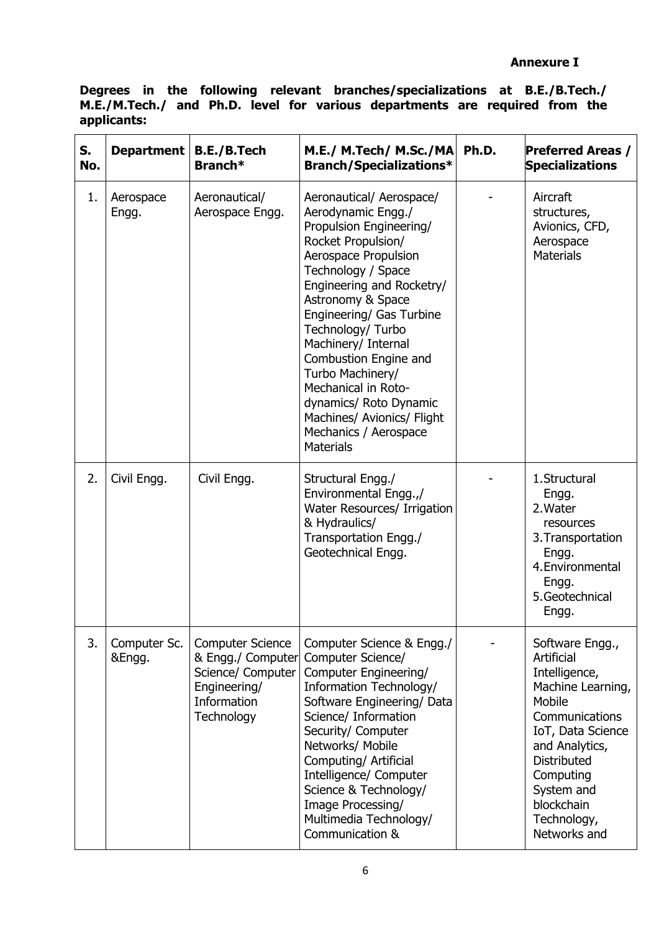**Degrees in the following relevant branches/specializations at B.E./B.Tech./ M.E./M.Tech./ and Ph.D. level for various departments are required from the applicants:**

| S.<br>No. | Department             | <b>B.E./B.Tech</b><br>Branch*                                                                                         | M.E./ M.Tech/ M.Sc./MA<br><b>Branch/Specializations*</b>                                                                                                                                                                                                                                                                                                                                                                                         | Ph.D. | <b>Preferred Areas /</b><br><b>Specializations</b>                                                                                                                                                                                   |
|-----------|------------------------|-----------------------------------------------------------------------------------------------------------------------|--------------------------------------------------------------------------------------------------------------------------------------------------------------------------------------------------------------------------------------------------------------------------------------------------------------------------------------------------------------------------------------------------------------------------------------------------|-------|--------------------------------------------------------------------------------------------------------------------------------------------------------------------------------------------------------------------------------------|
| 1.        | Aerospace<br>Engg.     | Aeronautical/<br>Aerospace Engg.                                                                                      | Aeronautical/ Aerospace/<br>Aerodynamic Engg./<br>Propulsion Engineering/<br>Rocket Propulsion/<br>Aerospace Propulsion<br>Technology / Space<br>Engineering and Rocketry/<br>Astronomy & Space<br>Engineering/ Gas Turbine<br>Technology/ Turbo<br>Machinery/ Internal<br>Combustion Engine and<br>Turbo Machinery/<br>Mechanical in Roto-<br>dynamics/ Roto Dynamic<br>Machines/ Avionics/ Flight<br>Mechanics / Aerospace<br><b>Materials</b> |       | Aircraft<br>structures,<br>Avionics, CFD,<br>Aerospace<br><b>Materials</b>                                                                                                                                                           |
| 2.        | Civil Engg.            | Civil Engg.                                                                                                           | Structural Engg./<br>Environmental Engg.,/<br>Water Resources/ Irrigation<br>& Hydraulics/<br>Transportation Engg./<br>Geotechnical Engg.                                                                                                                                                                                                                                                                                                        |       | 1. Structural<br>Engg.<br>2. Water<br>resources<br>3. Transportation<br>Engg.<br>4. Environmental<br>Engg.<br>5. Geotechnical<br>Engg.                                                                                               |
| 3.        | Computer Sc.<br>&Engg. | <b>Computer Science</b><br>& Engg./ Computer<br>Science/ Computer<br>Engineering/<br><b>Information</b><br>Technology | Computer Science & Engg./<br>Computer Science/<br>Computer Engineering/<br>Information Technology/<br>Software Engineering/Data<br>Science/ Information<br>Security/ Computer<br>Networks/ Mobile<br>Computing/ Artificial<br>Intelligence/ Computer<br>Science & Technology/<br>Image Processing/<br>Multimedia Technology/<br>Communication &                                                                                                  |       | Software Engg.,<br>Artificial<br>Intelligence,<br>Machine Learning,<br>Mobile<br>Communications<br>IoT, Data Science<br>and Analytics,<br><b>Distributed</b><br>Computing<br>System and<br>blockchain<br>Technology,<br>Networks and |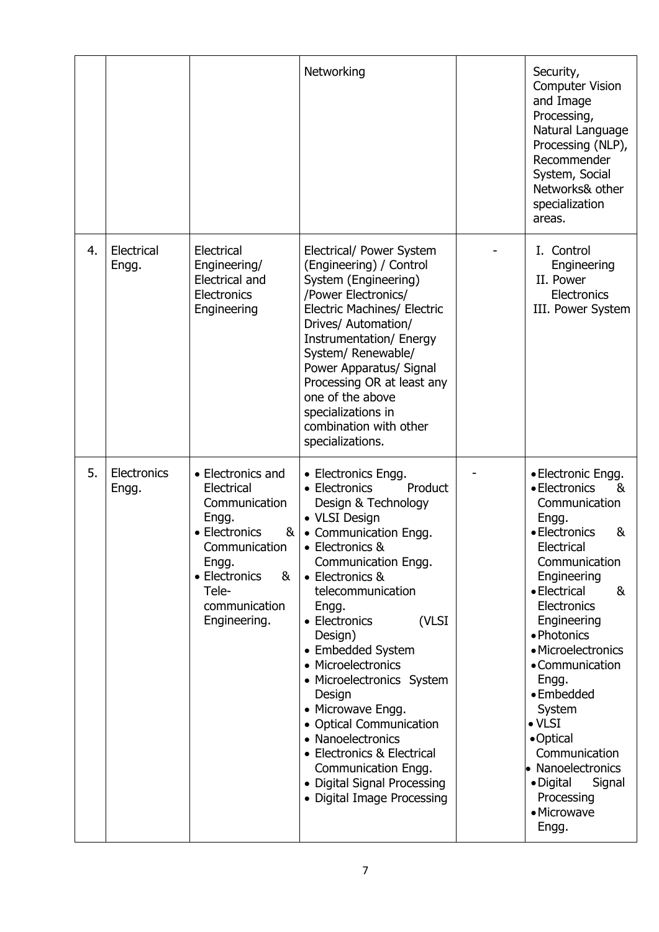|    |                      |                                                                                                                                                                                        | Networking                                                                                                                                                                                                                                                                                                                                                                                                                                                                                                                | Security,<br><b>Computer Vision</b><br>and Image<br>Processing,<br>Natural Language<br>Processing (NLP),<br>Recommender<br>System, Social<br>Networks& other<br>specialization<br>areas.                                                                                                                                                                                                                                    |
|----|----------------------|----------------------------------------------------------------------------------------------------------------------------------------------------------------------------------------|---------------------------------------------------------------------------------------------------------------------------------------------------------------------------------------------------------------------------------------------------------------------------------------------------------------------------------------------------------------------------------------------------------------------------------------------------------------------------------------------------------------------------|-----------------------------------------------------------------------------------------------------------------------------------------------------------------------------------------------------------------------------------------------------------------------------------------------------------------------------------------------------------------------------------------------------------------------------|
| 4. | Electrical<br>Engg.  | Electrical<br>Engineering/<br><b>Electrical and</b><br>Electronics<br>Engineering                                                                                                      | Electrical/ Power System<br>(Engineering) / Control<br>System (Engineering)<br>/Power Electronics/<br><b>Electric Machines/ Electric</b><br>Drives/ Automation/<br>Instrumentation/ Energy<br>System/ Renewable/<br>Power Apparatus/ Signal<br>Processing OR at least any<br>one of the above<br>specializations in<br>combination with other<br>specializations.                                                                                                                                                         | I. Control<br>Engineering<br>II. Power<br>Electronics<br>III. Power System                                                                                                                                                                                                                                                                                                                                                  |
| 5. | Electronics<br>Engg. | • Electronics and<br>Electrical<br>Communication<br>Engg.<br>• Electronics<br>8 <sub>l</sub><br>Communication<br>Engg.<br>• Electronics<br>&<br>Tele-<br>communication<br>Engineering. | • Electronics Engg.<br>• Electronics<br>Product<br>Design & Technology<br>• VLSI Design<br>• Communication Engg.<br>• Electronics &<br>Communication Engg.<br>• Electronics &<br>telecommunication<br>Engg.<br>• Electronics<br>(VLSI<br>Design)<br>• Embedded System<br>• Microelectronics<br>• Microelectronics System<br>Design<br>• Microwave Engg.<br>• Optical Communication<br>• Nanoelectronics<br>• Electronics & Electrical<br>Communication Engg.<br>• Digital Signal Processing<br>• Digital Image Processing | • Electronic Engg.<br>• Electronics<br>&<br>Communication<br>Engg.<br>• Electronics<br>&<br>Electrical<br>Communication<br>Engineering<br>• Electrical<br>&<br>Electronics<br>Engineering<br>• Photonics<br>• Microelectronics<br>• Communication<br>Engg.<br>• Embedded<br>System<br>$\bullet$ VLSI<br>•Optical<br>Communication<br>• Nanoelectronics<br>$\bullet$ Digital<br>Signal<br>Processing<br>· Microwave<br>Engg. |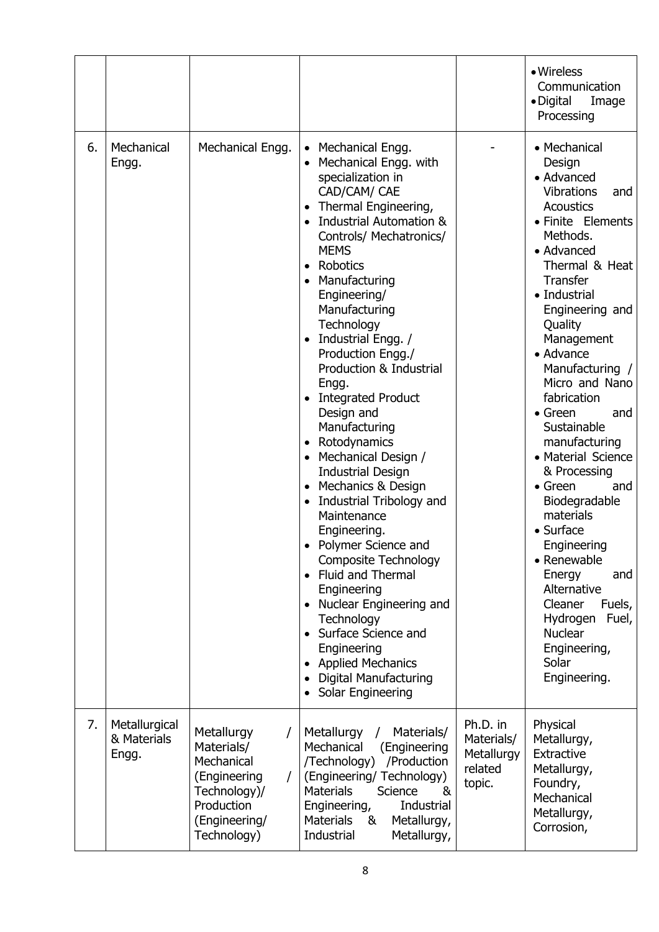|    |                                       |                                                                                                                           |                                                                                                                                                                                                                                                                                                                                                                                                                                                                                                                                                                                                                                                                                                                                                                                                                                                                                                                                     |                                                           | • Wireless<br>Communication<br>• Digital<br>Image<br>Processing                                                                                                                                                                                                                                                                                                                                                                                                                                                                                                                                                                                       |
|----|---------------------------------------|---------------------------------------------------------------------------------------------------------------------------|-------------------------------------------------------------------------------------------------------------------------------------------------------------------------------------------------------------------------------------------------------------------------------------------------------------------------------------------------------------------------------------------------------------------------------------------------------------------------------------------------------------------------------------------------------------------------------------------------------------------------------------------------------------------------------------------------------------------------------------------------------------------------------------------------------------------------------------------------------------------------------------------------------------------------------------|-----------------------------------------------------------|-------------------------------------------------------------------------------------------------------------------------------------------------------------------------------------------------------------------------------------------------------------------------------------------------------------------------------------------------------------------------------------------------------------------------------------------------------------------------------------------------------------------------------------------------------------------------------------------------------------------------------------------------------|
| 6. | Mechanical<br>Engg.                   | Mechanical Engg.                                                                                                          | Mechanical Engg.<br>Mechanical Engg. with<br>$\bullet$<br>specialization in<br>CAD/CAM/ CAE<br>Thermal Engineering,<br>$\bullet$<br><b>Industrial Automation &amp;</b><br>Controls/ Mechatronics/<br><b>MEMS</b><br>Robotics<br>$\bullet$<br>Manufacturing<br>Engineering/<br>Manufacturing<br>Technology<br>Industrial Engg. /<br>Production Engg./<br>Production & Industrial<br>Engg.<br><b>Integrated Product</b><br>Design and<br>Manufacturing<br>Rotodynamics<br>$\bullet$<br>Mechanical Design /<br><b>Industrial Design</b><br>Mechanics & Design<br>$\bullet$<br>Industrial Tribology and<br>Maintenance<br>Engineering.<br>Polymer Science and<br><b>Composite Technology</b><br>Fluid and Thermal<br>$\bullet$<br>Engineering<br>Nuclear Engineering and<br>$\bullet$<br>Technology<br>Surface Science and<br>$\bullet$<br>Engineering<br><b>Applied Mechanics</b><br><b>Digital Manufacturing</b><br>Solar Engineering |                                                           | • Mechanical<br>Design<br>• Advanced<br><b>Vibrations</b><br>and<br><b>Acoustics</b><br>• Finite Elements<br>Methods.<br>• Advanced<br>Thermal & Heat<br><b>Transfer</b><br>• Industrial<br>Engineering and<br>Quality<br>Management<br>• Advance<br>Manufacturing /<br>Micro and Nano<br>fabrication<br>$\bullet$ Green<br>and<br>Sustainable<br>manufacturing<br>• Material Science<br>& Processing<br>$\bullet$ Green<br>and<br>Biodegradable<br>materials<br>$\bullet$ Surface<br>Engineering<br>• Renewable<br>Energy<br>and<br>Alternative<br>Cleaner<br>Fuels,<br>Hydrogen<br>Fuel,<br><b>Nuclear</b><br>Engineering,<br>Solar<br>Engineering. |
| 7. | Metallurgical<br>& Materials<br>Engg. | Metallurgy<br>7<br>Materials/<br>Mechanical<br>(Engineering<br>Technology)/<br>Production<br>(Engineering/<br>Technology) | Metallurgy<br>Materials/<br>$\prime$<br>Mechanical<br>(Engineering<br>/Technology)<br>/Production<br>(Engineering/ Technology)<br><b>Materials</b><br>Science<br>&<br>Industrial<br>Engineering,<br><b>Materials</b><br>Metallurgy,<br>&<br>Metallurgy,<br>Industrial                                                                                                                                                                                                                                                                                                                                                                                                                                                                                                                                                                                                                                                               | Ph.D. in<br>Materials/<br>Metallurgy<br>related<br>topic. | Physical<br>Metallurgy,<br>Extractive<br>Metallurgy,<br>Foundry,<br>Mechanical<br>Metallurgy,<br>Corrosion,                                                                                                                                                                                                                                                                                                                                                                                                                                                                                                                                           |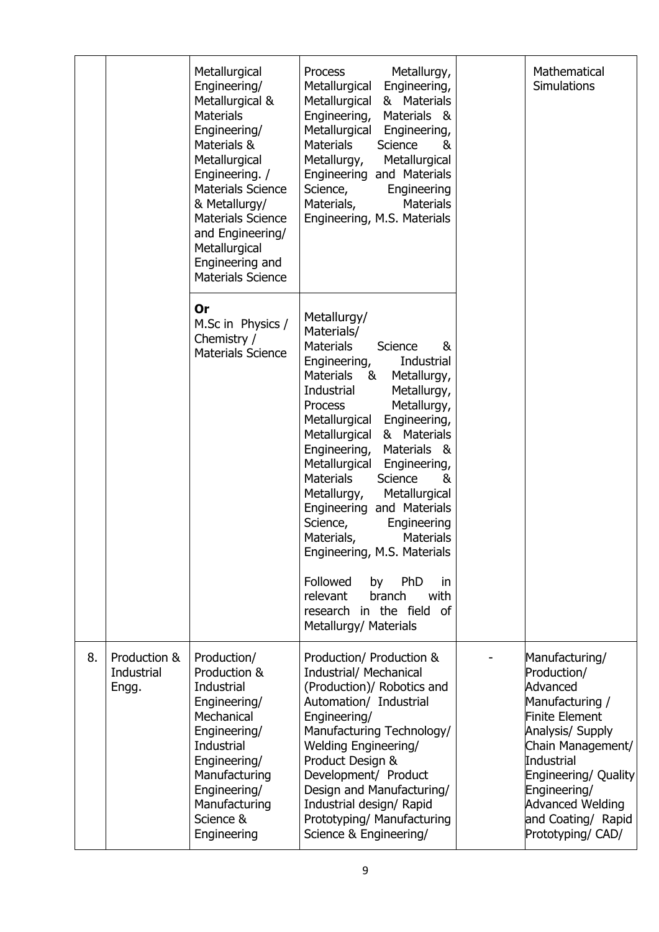|    |                                     | Metallurgical<br>Engineering/<br>Metallurgical &<br><b>Materials</b><br>Engineering/<br>Materials &<br>Metallurgical<br>Engineering. /<br><b>Materials Science</b><br>& Metallurgy/<br><b>Materials Science</b><br>and Engineering/<br>Metallurgical<br>Engineering and<br><b>Materials Science</b> | Metallurgy,<br><b>Process</b><br>Engineering,<br>Metallurgical<br>Metallurgical<br>& Materials<br>Engineering,<br>Materials &<br>Metallurgical<br>Engineering,<br><b>Materials</b><br>Science<br>&<br>Metallurgy,<br>Metallurgical<br>Engineering and Materials<br>Science,<br>Engineering<br>Materials,<br><b>Materials</b><br>Engineering, M.S. Materials                                                                                                                                                                                                                                                                                         | Mathematical<br><b>Simulations</b>                                                                                                                                                                                                                  |
|----|-------------------------------------|-----------------------------------------------------------------------------------------------------------------------------------------------------------------------------------------------------------------------------------------------------------------------------------------------------|-----------------------------------------------------------------------------------------------------------------------------------------------------------------------------------------------------------------------------------------------------------------------------------------------------------------------------------------------------------------------------------------------------------------------------------------------------------------------------------------------------------------------------------------------------------------------------------------------------------------------------------------------------|-----------------------------------------------------------------------------------------------------------------------------------------------------------------------------------------------------------------------------------------------------|
|    |                                     | <b>Or</b><br>M.Sc in Physics /<br>Chemistry /<br><b>Materials Science</b>                                                                                                                                                                                                                           | Metallurgy/<br>Materials/<br><b>Materials</b><br>&<br>Science<br>Engineering,<br>Industrial<br><b>Materials</b><br>Metallurgy,<br>- &<br>Industrial<br>Metallurgy,<br>Metallurgy,<br><b>Process</b><br>Metallurgical<br>Engineering,<br>Metallurgical<br>& Materials<br>Materials &<br>Engineering,<br>Metallurgical<br>Engineering,<br><b>Materials</b><br>Science<br>&<br>Metallurgy,<br>Metallurgical<br>Engineering and Materials<br>Science,<br>Engineering<br>Materials,<br><b>Materials</b><br>Engineering, M.S. Materials<br>Followed<br>PhD<br>by<br>in<br>branch<br>with<br>relevant<br>research in the field of<br>Metallurgy/ Materials |                                                                                                                                                                                                                                                     |
| 8. | Production &<br>Industrial<br>Engg. | Production/<br>Production &<br>Industrial<br>Engineering/<br>Mechanical<br>Engineering/<br>Industrial<br>Engineering/<br>Manufacturing<br>Engineering/<br>Manufacturing<br>Science &<br>Engineering                                                                                                 | Production/ Production &<br>Industrial/ Mechanical<br>(Production)/ Robotics and<br>Automation/ Industrial<br>Engineering/<br>Manufacturing Technology/<br><b>Welding Engineering/</b><br>Product Design &<br>Development/ Product<br>Design and Manufacturing/<br>Industrial design/ Rapid<br>Prototyping/ Manufacturing<br>Science & Engineering/                                                                                                                                                                                                                                                                                                 | Manufacturing/<br>Production/<br>Advanced<br>Manufacturing /<br>Finite Element<br>Analysis/ Supply<br>Chain Management/<br>Industrial<br>Engineering/ Quality<br>Engineering/<br><b>Advanced Welding</b><br>and Coating/ Rapid<br>Prototyping/ CAD/ |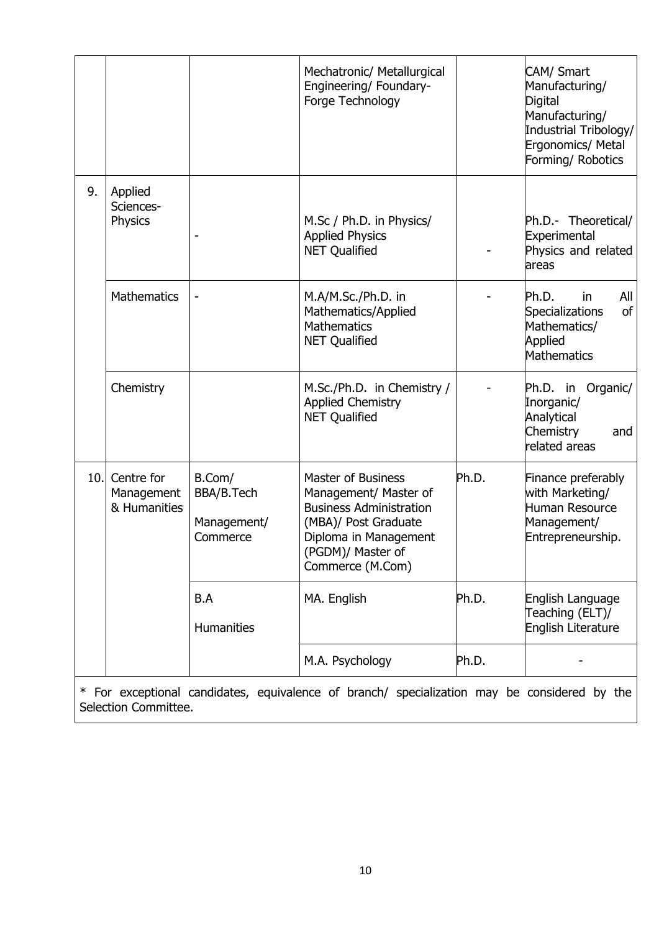|      |                                          |                                                 | Mechatronic/ Metallurgical<br>Engineering/ Foundary-<br>Forge Technology                                                                                                       |       | CAM/ Smart<br>Manufacturing/<br>Digital<br>Manufacturing/<br>Industrial Tribology/<br>Ergonomics/ Metal<br>Forming/ Robotics |
|------|------------------------------------------|-------------------------------------------------|--------------------------------------------------------------------------------------------------------------------------------------------------------------------------------|-------|------------------------------------------------------------------------------------------------------------------------------|
| 9.   | Applied<br>Sciences-<br>Physics          |                                                 | M.Sc / Ph.D. in Physics/<br><b>Applied Physics</b><br><b>NET Qualified</b>                                                                                                     |       | Ph.D.- Theoretical/<br>Experimental<br>Physics and related<br>areas                                                          |
|      | <b>Mathematics</b>                       | -                                               | M.A/M.Sc./Ph.D. in<br>Mathematics/Applied<br><b>Mathematics</b><br><b>NET Qualified</b>                                                                                        |       | Ph.D.<br>All<br>in<br><sub>of</sub><br>Specializations<br>Mathematics/<br>Applied<br>Mathematics                             |
|      | Chemistry                                |                                                 | M.Sc./Ph.D. in Chemistry /<br><b>Applied Chemistry</b><br><b>NET Qualified</b>                                                                                                 |       | Ph.D. in<br>Organic/<br>Inorganic/<br>Analytical<br>Chemistry<br>and<br>related areas                                        |
| 10.1 | Centre for<br>Management<br>& Humanities | B.Com/<br>BBA/B.Tech<br>Management/<br>Commerce | <b>Master of Business</b><br>Management/ Master of<br><b>Business Administration</b><br>(MBA)/ Post Graduate<br>Diploma in Management<br>(PGDM)/ Master of<br>Commerce (M.Com) | Ph.D. | Finance preferably<br>with Marketing/<br>Human Resource<br>Management/<br>Entrepreneurship.                                  |
|      |                                          | B.A<br><b>Humanities</b>                        | MA. English                                                                                                                                                                    | Ph.D. | English Language<br>Teaching (ELT)/<br>English Literature                                                                    |
|      |                                          |                                                 | M.A. Psychology                                                                                                                                                                | Ph.D. |                                                                                                                              |
| ∗    |                                          |                                                 | For exceptional candidates, equivalence of branch/ specialization may be considered by the                                                                                     |       |                                                                                                                              |

Selection Committee.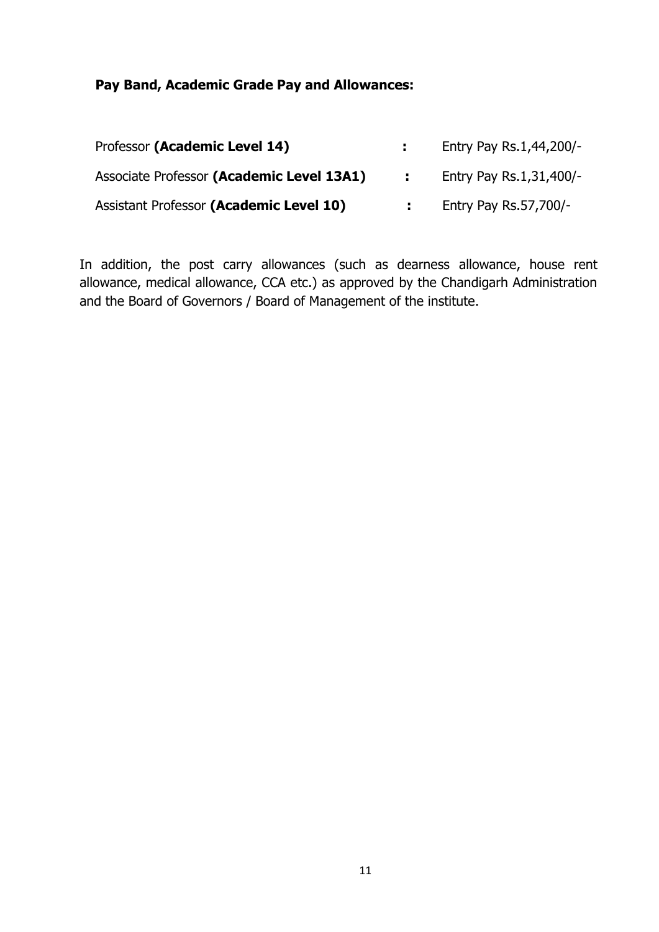#### **Pay Band, Academic Grade Pay and Allowances:**

| Professor (Academic Level 14)             |      | Entry Pay Rs.1,44,200/- |
|-------------------------------------------|------|-------------------------|
| Associate Professor (Academic Level 13A1) | di s | Entry Pay Rs.1,31,400/- |
| Assistant Professor (Academic Level 10)   |      | Entry Pay Rs.57,700/-   |

In addition, the post carry allowances (such as dearness allowance, house rent allowance, medical allowance, CCA etc.) as approved by the Chandigarh Administration and the Board of Governors / Board of Management of the institute.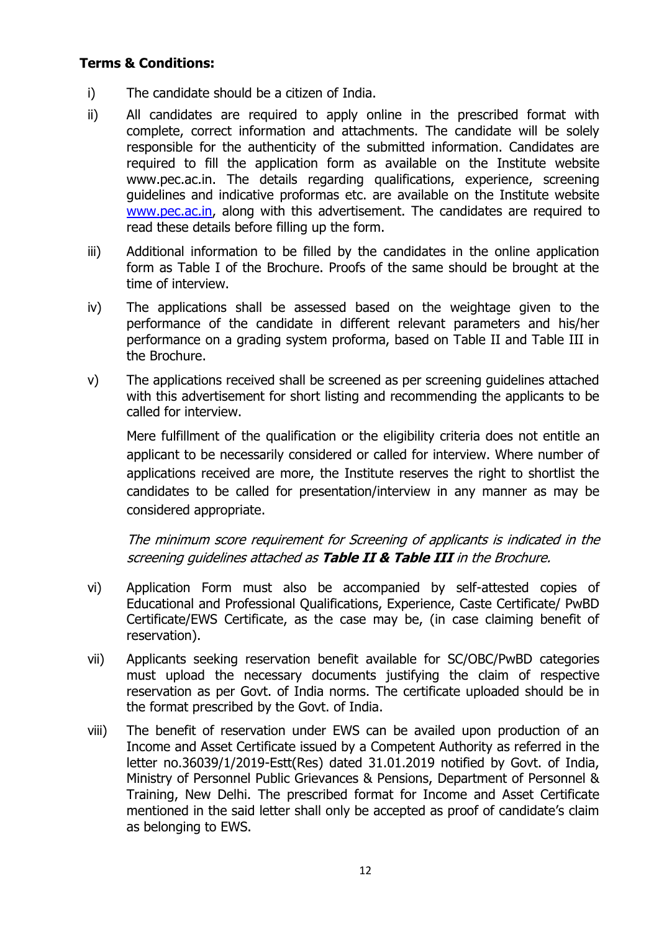#### **Terms & Conditions:**

- i) The candidate should be a citizen of India.
- ii) All candidates are required to apply online in the prescribed format with complete, correct information and attachments. The candidate will be solely responsible for the authenticity of the submitted information. Candidates are required to fill the application form as available on the Institute website www.pec.ac.in. The details regarding qualifications, experience, screening guidelines and indicative proformas etc. are available on the Institute website [www.pec.ac.in,](http://www.pec.ac.in/) along with this advertisement. The candidates are required to read these details before filling up the form.
- iii) Additional information to be filled by the candidates in the online application form as Table I of the Brochure. Proofs of the same should be brought at the time of interview.
- iv) The applications shall be assessed based on the weightage given to the performance of the candidate in different relevant parameters and his/her performance on a grading system proforma, based on Table II and Table III in the Brochure.
- v) The applications received shall be screened as per screening guidelines attached with this advertisement for short listing and recommending the applicants to be called for interview.

Mere fulfillment of the qualification or the eligibility criteria does not entitle an applicant to be necessarily considered or called for interview. Where number of applications received are more, the Institute reserves the right to shortlist the candidates to be called for presentation/interview in any manner as may be considered appropriate.

The minimum score requirement for Screening of applicants is indicated in the screening guidelines attached as **Table II & Table III** in the Brochure.

- vi) Application Form must also be accompanied by self-attested copies of Educational and Professional Qualifications, Experience, Caste Certificate/ PwBD Certificate/EWS Certificate, as the case may be, (in case claiming benefit of reservation).
- vii) Applicants seeking reservation benefit available for SC/OBC/PwBD categories must upload the necessary documents justifying the claim of respective reservation as per Govt. of India norms. The certificate uploaded should be in the format prescribed by the Govt. of India.
- viii) The benefit of reservation under EWS can be availed upon production of an Income and Asset Certificate issued by a Competent Authority as referred in the letter no.36039/1/2019-Estt(Res) dated 31.01.2019 notified by Govt. of India, Ministry of Personnel Public Grievances & Pensions, Department of Personnel & Training, New Delhi. The prescribed format for Income and Asset Certificate mentioned in the said letter shall only be accepted as proof of candidate's claim as belonging to EWS.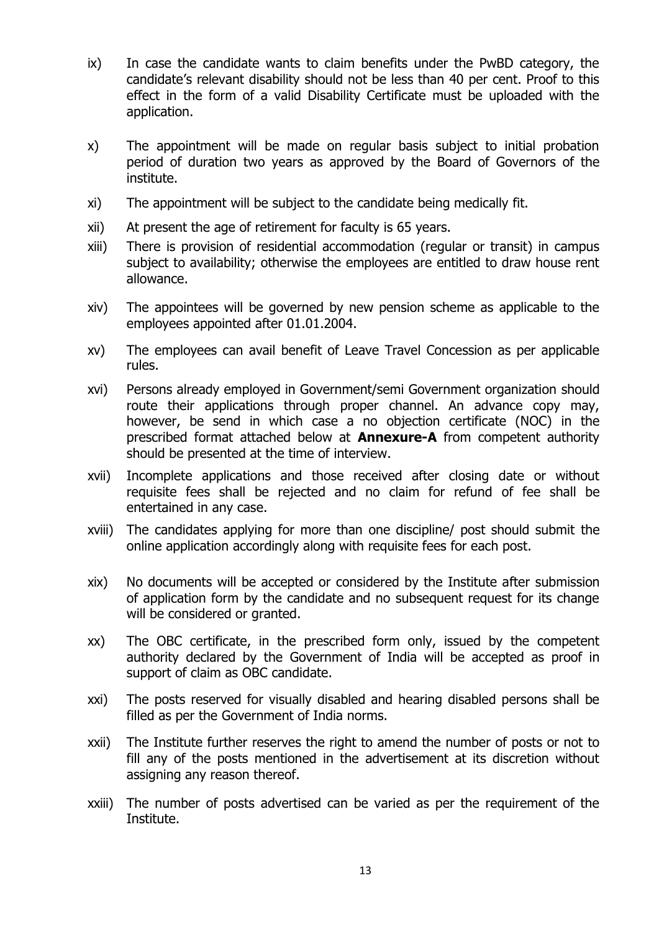- ix) In case the candidate wants to claim benefits under the PwBD category, the candidate's relevant disability should not be less than 40 per cent. Proof to this effect in the form of a valid Disability Certificate must be uploaded with the application.
- x) The appointment will be made on regular basis subject to initial probation period of duration two years as approved by the Board of Governors of the institute.
- xi) The appointment will be subject to the candidate being medically fit.
- xii) At present the age of retirement for faculty is 65 years.
- xiii) There is provision of residential accommodation (regular or transit) in campus subject to availability; otherwise the employees are entitled to draw house rent allowance.
- xiv) The appointees will be governed by new pension scheme as applicable to the employees appointed after 01.01.2004.
- xv) The employees can avail benefit of Leave Travel Concession as per applicable rules.
- xvi) Persons already employed in Government/semi Government organization should route their applications through proper channel. An advance copy may, however, be send in which case a no objection certificate (NOC) in the prescribed format attached below at **Annexure-A** from competent authority should be presented at the time of interview.
- xvii) Incomplete applications and those received after closing date or without requisite fees shall be rejected and no claim for refund of fee shall be entertained in any case.
- xviii) The candidates applying for more than one discipline/ post should submit the online application accordingly along with requisite fees for each post.
- xix) No documents will be accepted or considered by the Institute after submission of application form by the candidate and no subsequent request for its change will be considered or granted.
- xx) The OBC certificate, in the prescribed form only, issued by the competent authority declared by the Government of India will be accepted as proof in support of claim as OBC candidate.
- xxi) The posts reserved for visually disabled and hearing disabled persons shall be filled as per the Government of India norms.
- xxii) The Institute further reserves the right to amend the number of posts or not to fill any of the posts mentioned in the advertisement at its discretion without assigning any reason thereof.
- xxiii) The number of posts advertised can be varied as per the requirement of the Institute.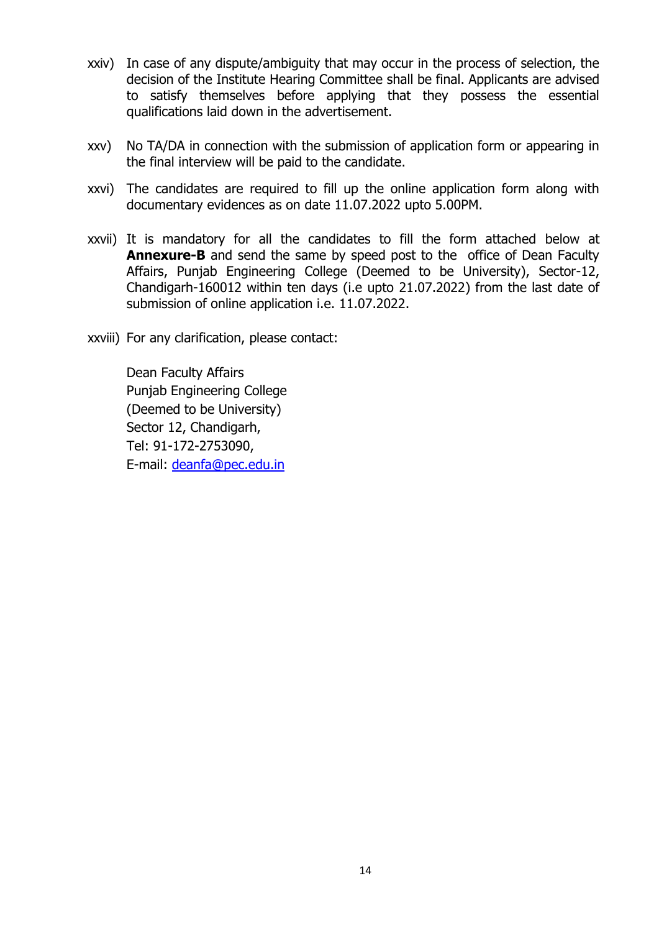- xxiv) In case of any dispute/ambiguity that may occur in the process of selection, the decision of the Institute Hearing Committee shall be final. Applicants are advised to satisfy themselves before applying that they possess the essential qualifications laid down in the advertisement.
- xxv) No TA/DA in connection with the submission of application form or appearing in the final interview will be paid to the candidate.
- xxvi) The candidates are required to fill up the online application form along with documentary evidences as on date 11.07.2022 upto 5.00PM.
- xxvii) It is mandatory for all the candidates to fill the form attached below at **Annexure-B** and send the same by speed post to the office of Dean Faculty Affairs, Punjab Engineering College (Deemed to be University), Sector-12, Chandigarh-160012 within ten days (i.e upto 21.07.2022) from the last date of submission of online application i.e. 11.07.2022.
- xxviii) For any clarification, please contact:

Dean Faculty Affairs Punjab Engineering College (Deemed to be University) Sector 12, Chandigarh, Tel: 91-172-2753090, E-mail: [deanfa@pec.edu.in](mailto:deanfa@pec.edu.in)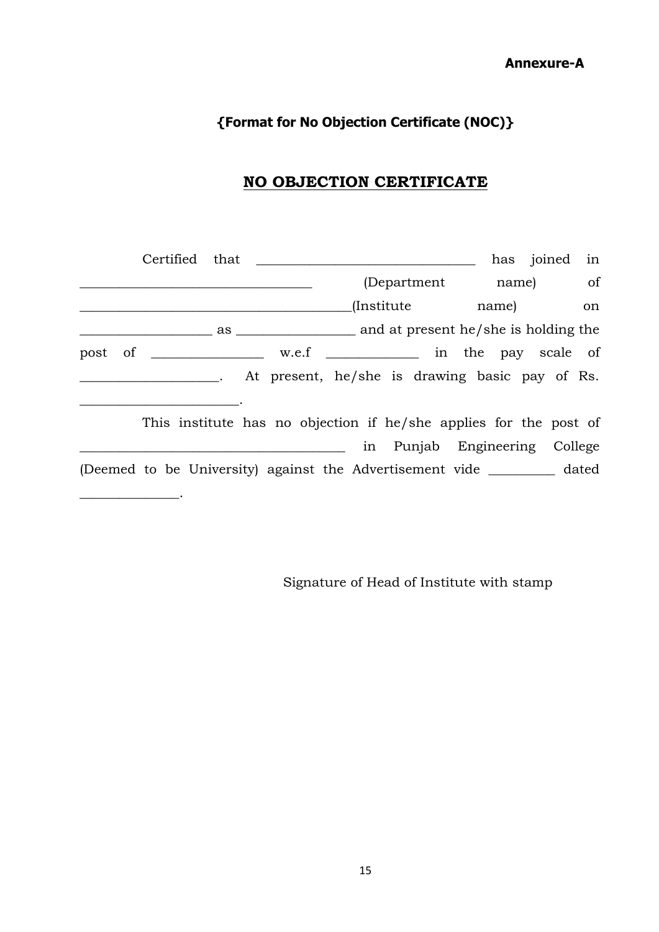**Annexure-A**

# **{Format for No Objection Certificate (NOC)}**

# **NO OBJECTION CERTIFICATE**

|  |                                                                           |                               | has joined in |    |
|--|---------------------------------------------------------------------------|-------------------------------|---------------|----|
|  |                                                                           | (Department name) of          |               |    |
|  |                                                                           | (Institute name)              |               | on |
|  |                                                                           |                               |               |    |
|  | post of _________________ w.e.f _____________ in the pay scale of         |                               |               |    |
|  | . At present, he/she is drawing basic pay of Rs.                          |                               |               |    |
|  | This institute has no objection if he/she applies for the post of         |                               |               |    |
|  |                                                                           | in Punjab Engineering College |               |    |
|  | (Deemed to be University) against the Advertisement vide __________ dated |                               |               |    |
|  |                                                                           |                               |               |    |

Signature of Head of Institute with stamp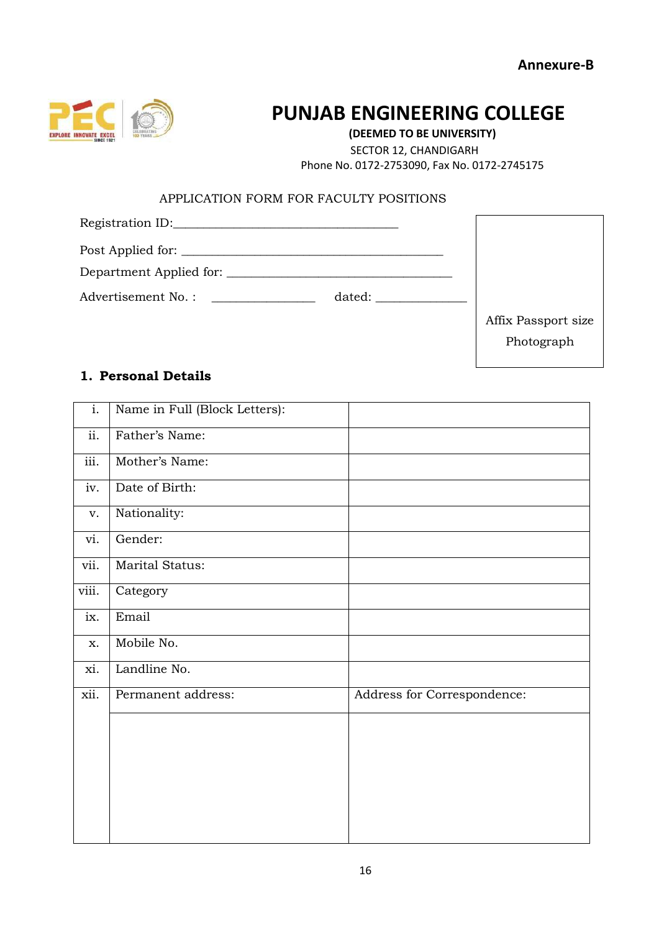

# **PUNJAB ENGINEERING COLLEGE**

**(DEEMED TO BE UNIVERSITY)** SECTOR 12, CHANDIGARH Phone No. 0172-2753090, Fax No. 0172-2745175

#### APPLICATION FORM FOR FACULTY POSITIONS

| Post Applied for:  |                     |
|--------------------|---------------------|
|                    |                     |
| Advertisement No.: |                     |
|                    | Affix Passport size |
|                    | Photograph          |
|                    |                     |

#### **1. Personal Details**

| $\overline{i}$ . | Name in Full (Block Letters): |                             |
|------------------|-------------------------------|-----------------------------|
| ii.              | Father's Name:                |                             |
| iii.             | Mother's Name:                |                             |
| iv.              | Date of Birth:                |                             |
| V.               | Nationality:                  |                             |
| vi.              | Gender:                       |                             |
| vii.             | Marital Status:               |                             |
| viii.            | Category                      |                             |
| ix.              | Email                         |                             |
| X.               | Mobile No.                    |                             |
| xi.              | Landline No.                  |                             |
| xii.             | Permanent address:            | Address for Correspondence: |
|                  |                               |                             |
|                  |                               |                             |
|                  |                               |                             |
|                  |                               |                             |
|                  |                               |                             |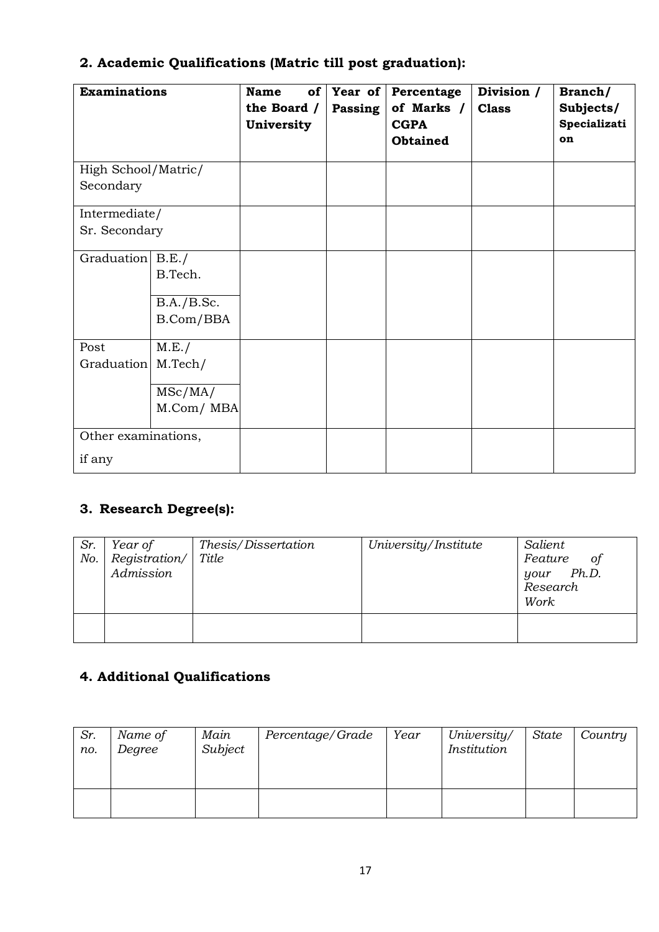| <b>Examinations</b> |            | <b>Name</b><br>of<br>the Board /<br>University | Year of<br>Passing | Percentage<br>of Marks /<br><b>CGPA</b><br><b>Obtained</b> | Division /<br><b>Class</b> | Branch/<br>Subjects/<br>Specializati<br>on |
|---------------------|------------|------------------------------------------------|--------------------|------------------------------------------------------------|----------------------------|--------------------------------------------|
| High School/Matric/ |            |                                                |                    |                                                            |                            |                                            |
| Secondary           |            |                                                |                    |                                                            |                            |                                            |
| Intermediate/       |            |                                                |                    |                                                            |                            |                                            |
| Sr. Secondary       |            |                                                |                    |                                                            |                            |                                            |
| Graduation B.E./    |            |                                                |                    |                                                            |                            |                                            |
|                     | B.Tech.    |                                                |                    |                                                            |                            |                                            |
|                     | B.A./B.Sc. |                                                |                    |                                                            |                            |                                            |
|                     | B.Com/BBA  |                                                |                    |                                                            |                            |                                            |
| Post                | M.E./      |                                                |                    |                                                            |                            |                                            |
| Graduation          | M.Tech/    |                                                |                    |                                                            |                            |                                            |
|                     | MSc/MA/    |                                                |                    |                                                            |                            |                                            |
|                     | M.Com/MBA  |                                                |                    |                                                            |                            |                                            |
| Other examinations, |            |                                                |                    |                                                            |                            |                                            |
| if any              |            |                                                |                    |                                                            |                            |                                            |

# **2. Academic Qualifications (Matric till post graduation):**

# **3. Research Degree(s):**

| Sr.<br>No. | Year of<br>Registration/<br>Admission | Thesis/Dissertation<br>Title | University/Institute | Salient<br>Feature<br>оf<br>your Ph.D.<br>Research<br>Work |
|------------|---------------------------------------|------------------------------|----------------------|------------------------------------------------------------|
|            |                                       |                              |                      |                                                            |

# **4. Additional Qualifications**

| Sr.<br>no. | Name of<br>Degree | Main<br>Subject | Percentage/Grade | Year | University/<br>Institution | State | Country |
|------------|-------------------|-----------------|------------------|------|----------------------------|-------|---------|
|            |                   |                 |                  |      |                            |       |         |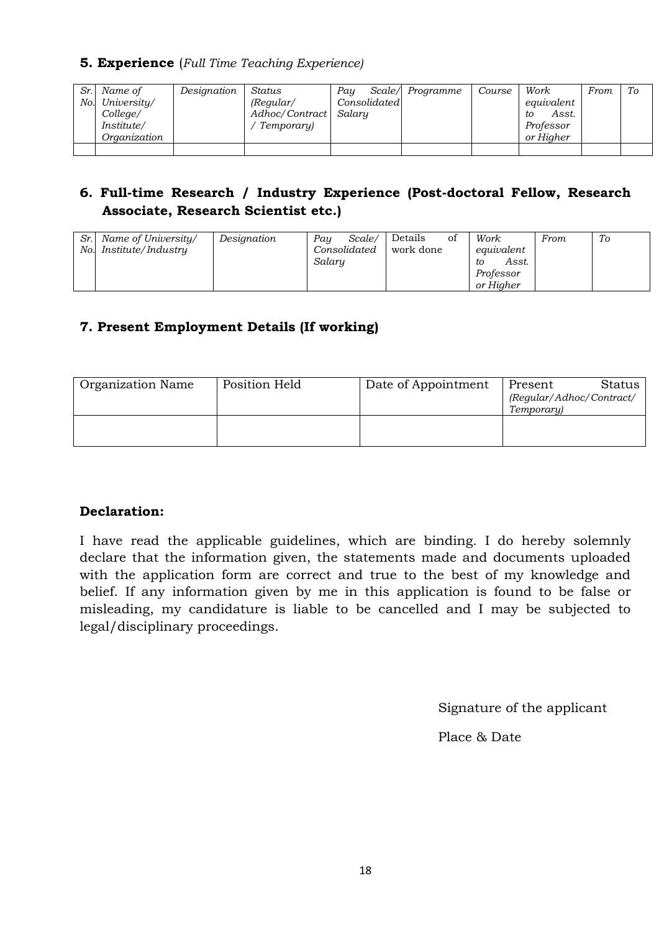#### **5. Experience** (*Full Time Teaching Experience)*

| Sr. Name of     | Designation | Status                | Pau          | Scale/ Programme | Course | Work        | From | To |
|-----------------|-------------|-----------------------|--------------|------------------|--------|-------------|------|----|
| No. University/ |             | $($ Regular $/$       | Consolidated |                  |        | equivalent  |      |    |
| College/        |             | Adhoc/Contract Salary |              |                  |        | Asst.<br>tο |      |    |
| Institute/      |             | Temporary)            |              |                  |        | Professor   |      |    |
| Organization    |             |                       |              |                  |        | or Higher   |      |    |
|                 |             |                       |              |                  |        |             |      |    |

#### **6. Full-time Research / Industry Experience (Post-doctoral Fellow, Research Associate, Research Scientist etc.)**

| Sr. Name of University/ | Designation | Pau    | Scale/       | Details   | Οİ | Work        | From | To |
|-------------------------|-------------|--------|--------------|-----------|----|-------------|------|----|
| No. Institute/Industry  |             |        | Consolidated | work done |    | equivalent  |      |    |
|                         |             | Salary |              |           |    | Asst.<br>to |      |    |
|                         |             |        |              |           |    | Professor   |      |    |
|                         |             |        |              |           |    | or Hiaher   |      |    |

#### **7. Present Employment Details (If working)**

| <b>Organization Name</b> | Position Held | Date of Appointment | Status  <br>Present<br>(Regular/Adhoc/Contract/<br>Temporary) |
|--------------------------|---------------|---------------------|---------------------------------------------------------------|
|                          |               |                     |                                                               |

#### **Declaration:**

I have read the applicable guidelines, which are binding. I do hereby solemnly declare that the information given, the statements made and documents uploaded with the application form are correct and true to the best of my knowledge and belief. If any information given by me in this application is found to be false or misleading, my candidature is liable to be cancelled and I may be subjected to legal/disciplinary proceedings.

Signature of the applicant

Place & Date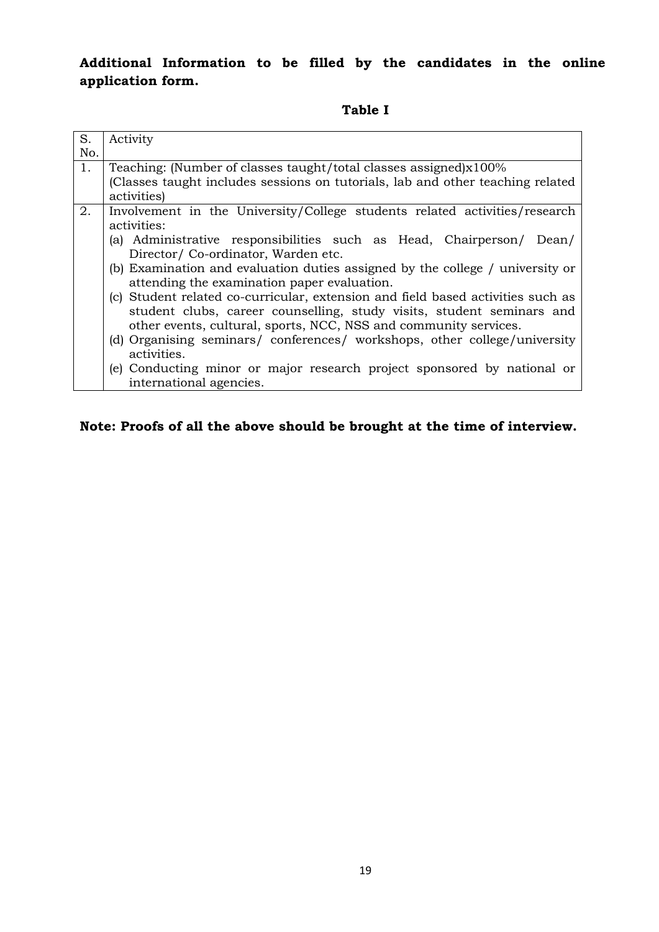### **Additional Information to be filled by the candidates in the online application form.**

#### **Table I**

| S.  | Activity                                                                                      |
|-----|-----------------------------------------------------------------------------------------------|
| No. |                                                                                               |
| 1.  | Teaching: (Number of classes taught/total classes assigned)x100%                              |
|     | (Classes taught includes sessions on tutorials, lab and other teaching related<br>activities) |
| 2.  | Involvement in the University/College students related activities/research                    |
|     | activities:                                                                                   |
|     | (a) Administrative responsibilities such as Head, Chairperson/<br>Dean/                       |
|     | Director/Co-ordinator, Warden etc.                                                            |
|     | (b) Examination and evaluation duties assigned by the college / university or                 |
|     | attending the examination paper evaluation.                                                   |
|     | (c) Student related co-curricular, extension and field based activities such as               |
|     | student clubs, career counselling, study visits, student seminars and                         |
|     | other events, cultural, sports, NCC, NSS and community services.                              |
|     | (d) Organising seminars/ conferences/ workshops, other college/university                     |
|     | activities.                                                                                   |
|     | (e) Conducting minor or major research project sponsored by national or                       |
|     | international agencies.                                                                       |

### **Note: Proofs of all the above should be brought at the time of interview.**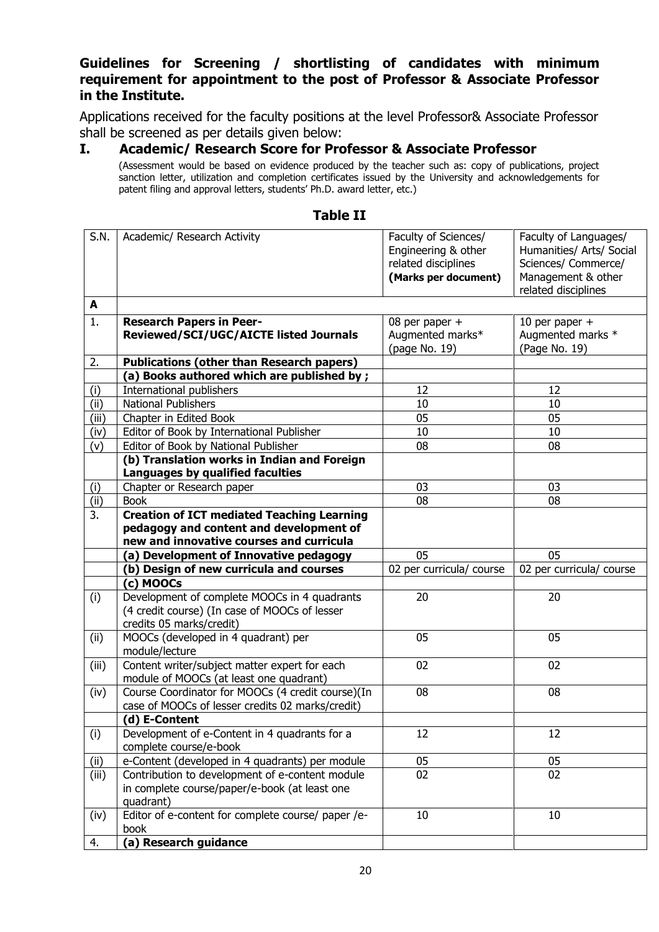#### **Guidelines for Screening / shortlisting of candidates with minimum requirement for appointment to the post of Professor & Associate Professor in the Institute.**

Applications received for the faculty positions at the level Professor& Associate Professor shall be screened as per details given below:

#### **I. Academic/ Research Score for Professor & Associate Professor**

(Assessment would be based on evidence produced by the teacher such as: copy of publications, project sanction letter, utilization and completion certificates issued by the University and acknowledgements for patent filing and approval letters, students' Ph.D. award letter, etc.)

| S.N.             | Academic/ Research Activity                        | Faculty of Sciences/     | Faculty of Languages/    |
|------------------|----------------------------------------------------|--------------------------|--------------------------|
|                  |                                                    | Engineering & other      | Humanities/ Arts/ Social |
|                  |                                                    | related disciplines      | Sciences/ Commerce/      |
|                  |                                                    | (Marks per document)     | Management & other       |
|                  |                                                    |                          | related disciplines      |
| A                |                                                    |                          |                          |
| 1.               | <b>Research Papers in Peer-</b>                    | 08 per paper +           | 10 per paper $+$         |
|                  | Reviewed/SCI/UGC/AICTE listed Journals             | Augmented marks*         | Augmented marks *        |
|                  |                                                    | (page No. 19)            | (Page No. 19)            |
| 2.               | <b>Publications (other than Research papers)</b>   |                          |                          |
|                  | (a) Books authored which are published by;         |                          |                          |
| (i)              | International publishers                           | 12                       | 12                       |
| (ii)             | <b>National Publishers</b>                         | 10                       | 10                       |
| (iii)            | Chapter in Edited Book                             | 05                       | 05                       |
| (iv)             | Editor of Book by International Publisher          | 10                       | 10                       |
| (v)              | Editor of Book by National Publisher               | 08                       | 08                       |
|                  | (b) Translation works in Indian and Foreign        |                          |                          |
|                  | Languages by qualified faculties                   |                          |                          |
| (i)              | Chapter or Research paper                          | 03                       | 03                       |
| (ii)             | <b>Book</b>                                        | 08                       | 08                       |
| $\overline{3}$ . | <b>Creation of ICT mediated Teaching Learning</b>  |                          |                          |
|                  | pedagogy and content and development of            |                          |                          |
|                  | new and innovative courses and curricula           |                          |                          |
|                  | (a) Development of Innovative pedagogy             | 05                       | 05                       |
|                  | (b) Design of new curricula and courses            | 02 per curricula/ course | 02 per curricula/ course |
|                  | (c) MOOCs                                          |                          |                          |
| (i)              | Development of complete MOOCs in 4 quadrants       | 20                       | 20                       |
|                  | (4 credit course) (In case of MOOCs of lesser      |                          |                          |
|                  | credits 05 marks/credit)                           |                          |                          |
| (i)              | MOOCs (developed in 4 quadrant) per                | 05                       | 05                       |
|                  | module/lecture                                     |                          |                          |
| (iii)            | Content writer/subject matter expert for each      | 02                       | 02                       |
|                  | module of MOOCs (at least one quadrant)            |                          |                          |
| (iv)             | Course Coordinator for MOOCs (4 credit course)(In  | 08                       | 08                       |
|                  | case of MOOCs of lesser credits 02 marks/credit)   |                          |                          |
|                  | (d) E-Content                                      |                          |                          |
| (i)              | Development of e-Content in 4 quadrants for a      | 12                       | 12                       |
|                  | complete course/e-book                             |                          |                          |
| (ii)             | e-Content (developed in 4 quadrants) per module    | 05                       | 05                       |
| (iii)            | Contribution to development of e-content module    | 02                       | 02                       |
|                  | in complete course/paper/e-book (at least one      |                          |                          |
|                  | quadrant)                                          |                          |                          |
| (iv)             | Editor of e-content for complete course/ paper /e- | 10                       | 10                       |
|                  | book                                               |                          |                          |
| 4.               | (a) Research guidance                              |                          |                          |

#### **Table II**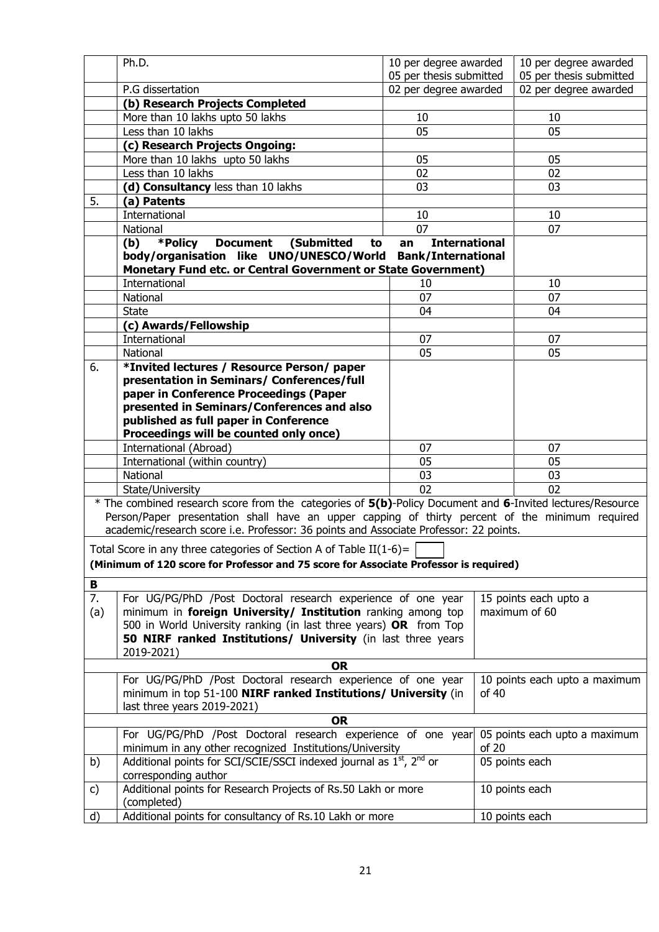|     | Ph.D.                                                                                                     | 10 per degree awarded         |       | 10 per degree awarded         |
|-----|-----------------------------------------------------------------------------------------------------------|-------------------------------|-------|-------------------------------|
|     |                                                                                                           | 05 per thesis submitted       |       | 05 per thesis submitted       |
|     | P.G dissertation                                                                                          | 02 per degree awarded         |       | 02 per degree awarded         |
|     | (b) Research Projects Completed                                                                           |                               |       |                               |
|     | More than 10 lakhs upto 50 lakhs                                                                          | 10                            |       | 10                            |
|     | Less than 10 lakhs                                                                                        | 05                            |       | 05                            |
|     | (c) Research Projects Ongoing:                                                                            |                               |       |                               |
|     | More than 10 lakhs upto 50 lakhs                                                                          | 05                            |       | 05                            |
|     | Less than 10 lakhs                                                                                        | 02                            |       | 02                            |
|     | (d) Consultancy less than 10 lakhs                                                                        | 03                            |       | 03                            |
| 5.  | (a) Patents                                                                                               |                               |       |                               |
|     | International                                                                                             | 10                            |       | 10                            |
|     | National                                                                                                  | 07                            |       | 07                            |
|     | (b)<br>*Policy<br><b>Document</b><br>(Submitted<br>to                                                     | <b>International</b><br>an    |       |                               |
|     | body/organisation like UNO/UNESCO/World                                                                   | <b>Bank/International</b>     |       |                               |
|     | Monetary Fund etc. or Central Government or State Government)                                             |                               |       |                               |
|     | International                                                                                             | 10<br>07                      |       | 10<br>07                      |
|     | National                                                                                                  |                               |       |                               |
|     | <b>State</b>                                                                                              | 04                            |       | 04                            |
|     | (c) Awards/Fellowship                                                                                     |                               |       |                               |
|     | International                                                                                             | 07                            |       | 07                            |
|     | National                                                                                                  | 05                            |       | 05                            |
| 6.  | *Invited lectures / Resource Person/ paper                                                                |                               |       |                               |
|     | presentation in Seminars/ Conferences/full<br>paper in Conference Proceedings (Paper                      |                               |       |                               |
|     | presented in Seminars/Conferences and also                                                                |                               |       |                               |
|     | published as full paper in Conference                                                                     |                               |       |                               |
|     | Proceedings will be counted only once)                                                                    |                               |       |                               |
|     | International (Abroad)                                                                                    | 07                            |       | 07                            |
|     | International (within country)                                                                            | 05                            |       | 05                            |
|     | National                                                                                                  | 03                            |       | 03                            |
|     | State/University                                                                                          | 02                            |       | 02                            |
|     | * The combined research score from the categories of 5(b)-Policy Document and 6-Invited lectures/Resource |                               |       |                               |
|     | Person/Paper presentation shall have an upper capping of thirty percent of the minimum required           |                               |       |                               |
|     | academic/research score i.e. Professor: 36 points and Associate Professor: 22 points.                     |                               |       |                               |
|     |                                                                                                           |                               |       |                               |
|     | Total Score in any three categories of Section A of Table II(1-6)=                                        |                               |       |                               |
|     | (Minimum of 120 score for Professor and 75 score for Associate Professor is required)                     |                               |       |                               |
| В   |                                                                                                           |                               |       |                               |
| 7.  | For UG/PG/PhD /Post Doctoral research experience of one year                                              |                               |       | 15 points each upto a         |
| (a) | minimum in foreign University/ Institution ranking among top                                              |                               |       | maximum of 60                 |
|     | 500 in World University ranking (in last three years) OR from Top                                         |                               |       |                               |
|     | 50 NIRF ranked Institutions/ University (in last three years                                              |                               |       |                               |
|     | 2019-2021)                                                                                                |                               |       |                               |
|     | <b>OR</b>                                                                                                 |                               |       |                               |
|     | For UG/PG/PhD /Post Doctoral research experience of one year                                              |                               |       | 10 points each upto a maximum |
|     | minimum in top 51-100 NIRF ranked Institutions/ University (in                                            |                               | of 40 |                               |
|     | last three years 2019-2021)                                                                               |                               |       |                               |
|     | <b>OR</b>                                                                                                 |                               |       |                               |
|     | For UG/PG/PhD /Post Doctoral research experience of one year                                              | 05 points each upto a maximum |       |                               |
|     | minimum in any other recognized Institutions/University                                                   |                               | of 20 |                               |
| b)  | Additional points for SCI/SCIE/SSCI indexed journal as 1 <sup>st</sup> , 2 <sup>nd</sup> or               |                               |       | 05 points each                |
|     | corresponding author                                                                                      |                               |       |                               |
| c)  | Additional points for Research Projects of Rs.50 Lakh or more                                             |                               |       | 10 points each                |
|     | (completed)<br>Additional points for consultancy of Rs.10 Lakh or more                                    |                               |       |                               |
| d)  |                                                                                                           |                               |       | 10 points each                |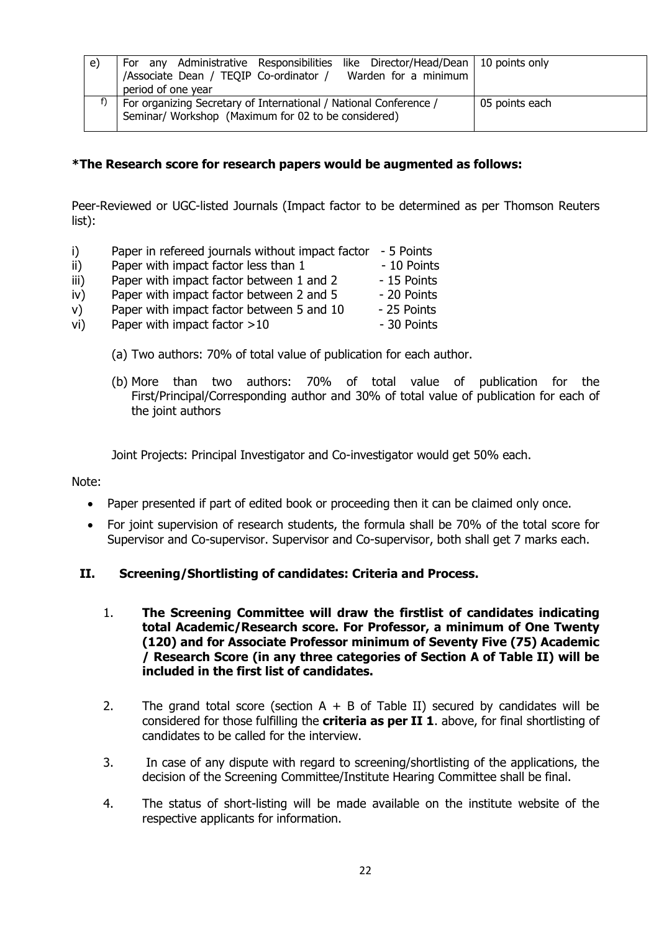| e) | For any Administrative Responsibilities like Director/Head/Dean   10 points only<br>/Associate Dean / TEQIP Co-ordinator /<br>Warden for a minimum<br>period of one year |                |
|----|--------------------------------------------------------------------------------------------------------------------------------------------------------------------------|----------------|
|    | For organizing Secretary of International / National Conference /<br>Seminar/ Workshop (Maximum for 02 to be considered)                                                 | 05 points each |

#### **\*The Research score for research papers would be augmented as follows:**

Peer-Reviewed or UGC-listed Journals (Impact factor to be determined as per Thomson Reuters list):

- i) Paper in refereed journals without impact factor 5 Points
- ii) Paper with impact factor less than 1 10 Points
- $\overline{iii}$  Paper with impact factor between 1 and 2  $-15$  Points
- $iv)$  Paper with impact factor between 2 and 5  $-20$  Points
- $v$ ) Paper with impact factor between 5 and 10  $-$  25 Points
- vi) Paper with impact factor  $>10$  30 Points
	- (a) Two authors: 70% of total value of publication for each author.
	- (b) More than two authors: 70% of total value of publication for the First/Principal/Corresponding author and 30% of total value of publication for each of the joint authors

Joint Projects: Principal Investigator and Co-investigator would get 50% each.

Note:

- Paper presented if part of edited book or proceeding then it can be claimed only once.
- For joint supervision of research students, the formula shall be 70% of the total score for Supervisor and Co-supervisor. Supervisor and Co-supervisor, both shall get 7 marks each.

#### **II. Screening/Shortlisting of candidates: Criteria and Process.**

- 1. **The Screening Committee will draw the firstlist of candidates indicating total Academic/Research score. For Professor, a minimum of One Twenty (120) and for Associate Professor minimum of Seventy Five (75) Academic / Research Score (in any three categories of Section A of Table II) will be included in the first list of candidates.**
- 2. The grand total score (section  $A + B$  of Table II) secured by candidates will be considered for those fulfilling the **criteria as per II 1**. above, for final shortlisting of candidates to be called for the interview.
- 3. In case of any dispute with regard to screening/shortlisting of the applications, the decision of the Screening Committee/Institute Hearing Committee shall be final.
- 4. The status of short-listing will be made available on the institute website of the respective applicants for information.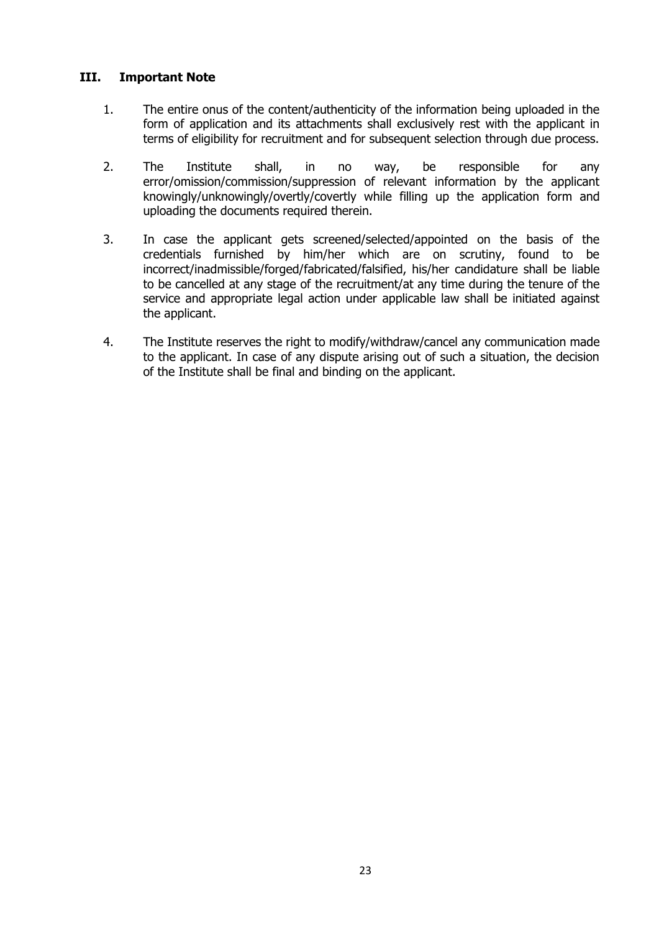#### **III. Important Note**

- 1. The entire onus of the content/authenticity of the information being uploaded in the form of application and its attachments shall exclusively rest with the applicant in terms of eligibility for recruitment and for subsequent selection through due process.
- 2. The Institute shall, in no way, be responsible for any error/omission/commission/suppression of relevant information by the applicant knowingly/unknowingly/overtly/covertly while filling up the application form and uploading the documents required therein.
- 3. In case the applicant gets screened/selected/appointed on the basis of the credentials furnished by him/her which are on scrutiny, found to be incorrect/inadmissible/forged/fabricated/falsified, his/her candidature shall be liable to be cancelled at any stage of the recruitment/at any time during the tenure of the service and appropriate legal action under applicable law shall be initiated against the applicant.
- 4. The Institute reserves the right to modify/withdraw/cancel any communication made to the applicant. In case of any dispute arising out of such a situation, the decision of the Institute shall be final and binding on the applicant.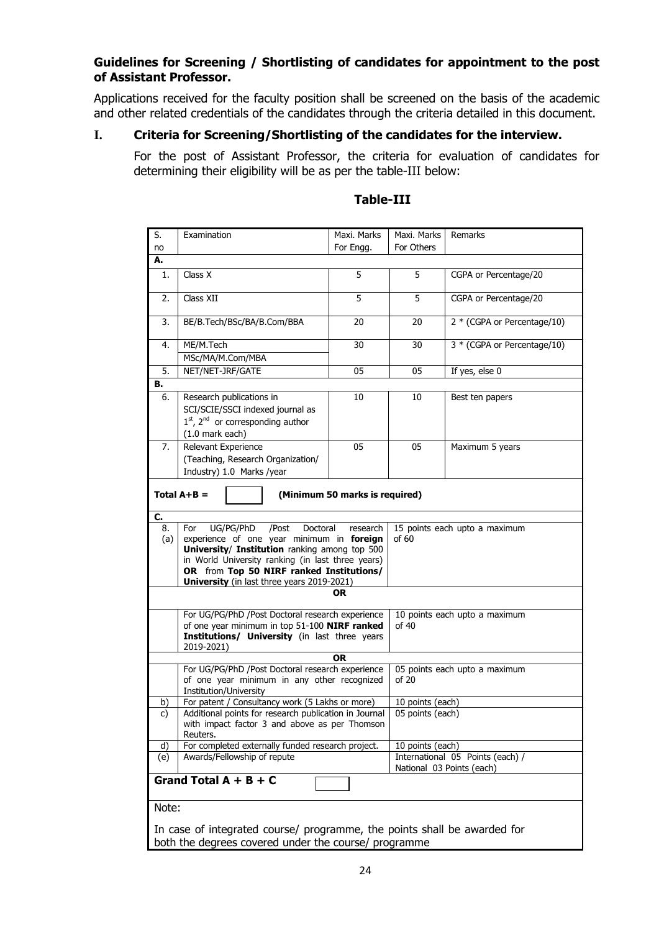#### **Guidelines for Screening / Shortlisting of candidates for appointment to the post of Assistant Professor.**

Applications received for the faculty position shall be screened on the basis of the academic and other related credentials of the candidates through the criteria detailed in this document.

#### **I. Criteria for Screening/Shortlisting of the candidates for the interview.**

For the post of Assistant Professor, the criteria for evaluation of candidates for determining their eligibility will be as per the table-III below:

| $\overline{\mathsf{S}}$ .                            | Examination                                                                                                                                                                                                                                                                        | Maxi. Marks                    | Maxi. Marks                            | Remarks                                                       |  |  |
|------------------------------------------------------|------------------------------------------------------------------------------------------------------------------------------------------------------------------------------------------------------------------------------------------------------------------------------------|--------------------------------|----------------------------------------|---------------------------------------------------------------|--|--|
| no                                                   |                                                                                                                                                                                                                                                                                    | For Engg.                      | For Others                             |                                                               |  |  |
| А.                                                   |                                                                                                                                                                                                                                                                                    |                                |                                        |                                                               |  |  |
| 1.                                                   | Class X                                                                                                                                                                                                                                                                            | 5                              | 5                                      | CGPA or Percentage/20                                         |  |  |
| 2.                                                   | Class XII                                                                                                                                                                                                                                                                          | 5                              | 5                                      | CGPA or Percentage/20                                         |  |  |
| 3.                                                   | BE/B.Tech/BSc/BA/B.Com/BBA                                                                                                                                                                                                                                                         | 20                             | 20                                     | 2 * (CGPA or Percentage/10)                                   |  |  |
| 4.                                                   | ME/M.Tech                                                                                                                                                                                                                                                                          | 30                             | 30                                     | 3 * (CGPA or Percentage/10)                                   |  |  |
|                                                      | MSc/MA/M.Com/MBA                                                                                                                                                                                                                                                                   |                                |                                        |                                                               |  |  |
| 5.                                                   | NET/NET-JRF/GATE                                                                                                                                                                                                                                                                   | 05                             | 05                                     | If yes, else 0                                                |  |  |
| в.                                                   |                                                                                                                                                                                                                                                                                    |                                |                                        |                                                               |  |  |
| 6.                                                   | Research publications in<br>SCI/SCIE/SSCI indexed journal as<br>$1st$ , $2nd$ or corresponding author<br>$(1.0$ mark each)                                                                                                                                                         | 10                             | 10                                     | Best ten papers                                               |  |  |
| 7.                                                   | Relevant Experience<br>(Teaching, Research Organization/<br>Industry) 1.0 Marks /year                                                                                                                                                                                              | 05                             | 05                                     | Maximum 5 years                                               |  |  |
|                                                      | Total $A+B =$                                                                                                                                                                                                                                                                      | (Minimum 50 marks is required) |                                        |                                                               |  |  |
| C.                                                   |                                                                                                                                                                                                                                                                                    |                                |                                        |                                                               |  |  |
| 8.<br>(a)                                            | For<br>UG/PG/PhD<br>/Post<br>Doctoral<br>experience of one year minimum in foreign<br>University/ Institution ranking among top 500<br>in World University ranking (in last three years)<br>OR from Top 50 NIRF ranked Institutions/<br>University (in last three years 2019-2021) | research                       | 15 points each upto a maximum<br>of 60 |                                                               |  |  |
|                                                      |                                                                                                                                                                                                                                                                                    | OR                             |                                        |                                                               |  |  |
|                                                      | For UG/PG/PhD /Post Doctoral research experience<br>of one year minimum in top 51-100 NIRF ranked<br>Institutions/ University (in last three years<br>2019-2021)                                                                                                                   |                                |                                        | 10 points each upto a maximum<br>of 40                        |  |  |
|                                                      |                                                                                                                                                                                                                                                                                    | OR                             |                                        |                                                               |  |  |
|                                                      | For UG/PG/PhD /Post Doctoral research experience<br>of one year minimum in any other recognized<br>Institution/University                                                                                                                                                          |                                | 05 points each upto a maximum<br>of 20 |                                                               |  |  |
| b)                                                   | For patent / Consultancy work (5 Lakhs or more)                                                                                                                                                                                                                                    |                                | 10 points (each)                       |                                                               |  |  |
| c)                                                   | Additional points for research publication in Journal<br>with impact factor 3 and above as per Thomson<br>Reuters.                                                                                                                                                                 |                                | 05 points (each)                       |                                                               |  |  |
| d)                                                   | For completed externally funded research project.                                                                                                                                                                                                                                  |                                | 10 points (each)                       |                                                               |  |  |
| (e)                                                  | Awards/Fellowship of repute                                                                                                                                                                                                                                                        |                                |                                        | International 05 Points (each) /<br>National 03 Points (each) |  |  |
|                                                      | Grand Total $A + B + C$                                                                                                                                                                                                                                                            |                                |                                        |                                                               |  |  |
| Note:                                                |                                                                                                                                                                                                                                                                                    |                                |                                        |                                                               |  |  |
|                                                      | In case of integrated course/ programme, the points shall be awarded for                                                                                                                                                                                                           |                                |                                        |                                                               |  |  |
| both the degrees covered under the course/ programme |                                                                                                                                                                                                                                                                                    |                                |                                        |                                                               |  |  |

#### **Table-III**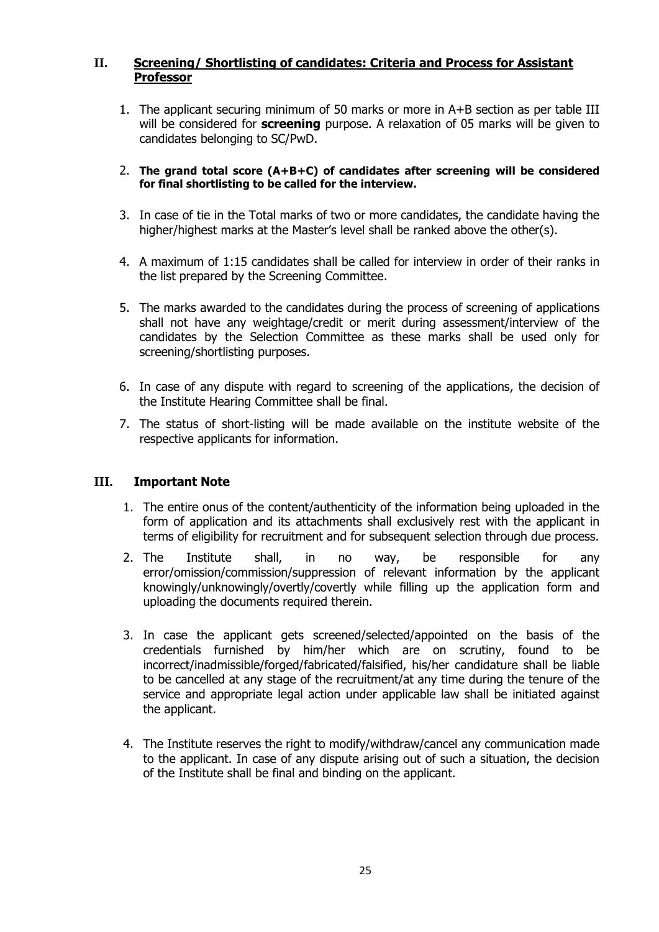#### **II. Screening/ Shortlisting of candidates: Criteria and Process for Assistant Professor**

- 1. The applicant securing minimum of 50 marks or more in A+B section as per table III will be considered for **screening** purpose. A relaxation of 05 marks will be given to candidates belonging to SC/PwD.
- 2. **The grand total score (A+B+C) of candidates after screening will be considered for final shortlisting to be called for the interview.**
- 3. In case of tie in the Total marks of two or more candidates, the candidate having the higher/highest marks at the Master's level shall be ranked above the other(s).
- 4. A maximum of 1:15 candidates shall be called for interview in order of their ranks in the list prepared by the Screening Committee.
- 5. The marks awarded to the candidates during the process of screening of applications shall not have any weightage/credit or merit during assessment/interview of the candidates by the Selection Committee as these marks shall be used only for screening/shortlisting purposes.
- 6. In case of any dispute with regard to screening of the applications, the decision of the Institute Hearing Committee shall be final.
- 7. The status of short-listing will be made available on the institute website of the respective applicants for information.

#### **III. Important Note**

- 1. The entire onus of the content/authenticity of the information being uploaded in the form of application and its attachments shall exclusively rest with the applicant in terms of eligibility for recruitment and for subsequent selection through due process.
- 2. The Institute shall, in no way, be responsible for any error/omission/commission/suppression of relevant information by the applicant knowingly/unknowingly/overtly/covertly while filling up the application form and uploading the documents required therein.
- 3. In case the applicant gets screened/selected/appointed on the basis of the credentials furnished by him/her which are on scrutiny, found to be incorrect/inadmissible/forged/fabricated/falsified, his/her candidature shall be liable to be cancelled at any stage of the recruitment/at any time during the tenure of the service and appropriate legal action under applicable law shall be initiated against the applicant.
- 4. The Institute reserves the right to modify/withdraw/cancel any communication made to the applicant. In case of any dispute arising out of such a situation, the decision of the Institute shall be final and binding on the applicant.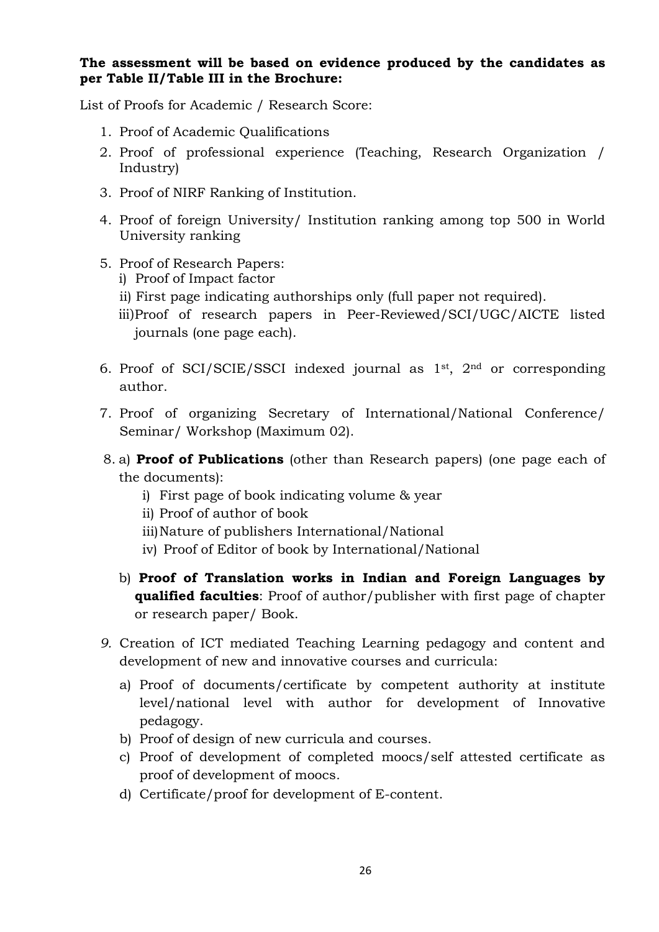**The assessment will be based on evidence produced by the candidates as per Table II/Table III in the Brochure:**

List of Proofs for Academic / Research Score:

- 1. Proof of Academic Qualifications
- 2. Proof of professional experience (Teaching, Research Organization / Industry)
- 3. Proof of NIRF Ranking of Institution.
- 4. Proof of foreign University/ Institution ranking among top 500 in World University ranking
- 5. Proof of Research Papers:
	- i) Proof of Impact factor
	- ii) First page indicating authorships only (full paper not required).
	- iii)Proof of research papers in Peer-Reviewed/SCI/UGC/AICTE listed journals (one page each).
- 6. Proof of SCI/SCIE/SSCI indexed journal as 1st, 2nd or corresponding author.
- 7. Proof of organizing Secretary of International/National Conference/ Seminar/ Workshop (Maximum 02).
- 8. a) **Proof of Publications** (other than Research papers) (one page each of the documents):
	- i) First page of book indicating volume & year
	- ii) Proof of author of book
	- iii)Nature of publishers International/National
	- iv) Proof of Editor of book by International/National
	- b) **Proof of Translation works in Indian and Foreign Languages by qualified faculties**: Proof of author/publisher with first page of chapter or research paper/ Book.
- *9.* Creation of ICT mediated Teaching Learning pedagogy and content and development of new and innovative courses and curricula:
	- a) Proof of documents/certificate by competent authority at institute level/national level with author for development of Innovative pedagogy.
	- b) Proof of design of new curricula and courses.
	- c) Proof of development of completed moocs/self attested certificate as proof of development of moocs*.*
	- d) Certificate/proof for development of E-content.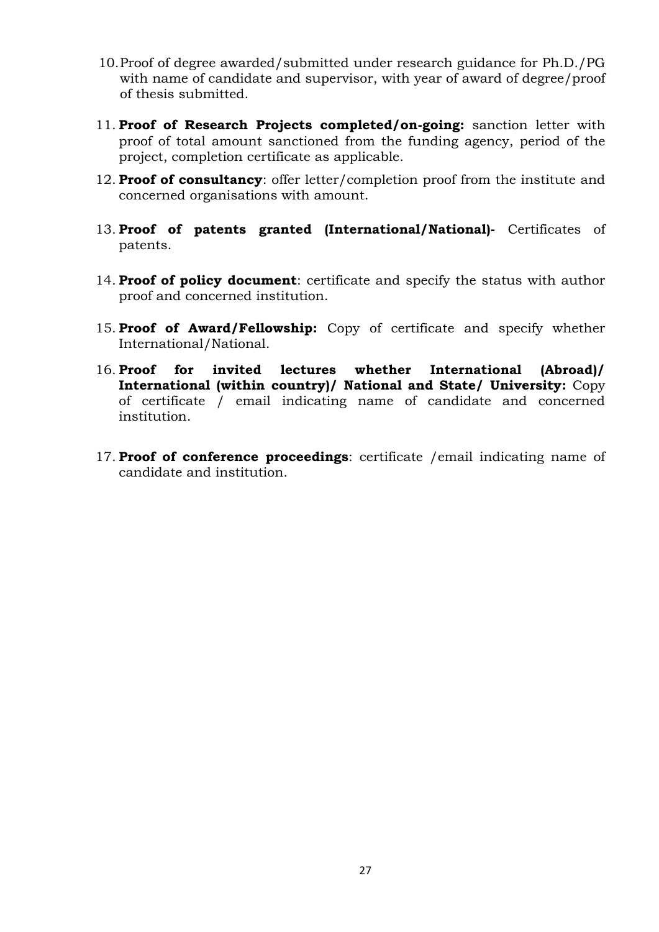- 10.Proof of degree awarded/submitted under research guidance for Ph.D./PG with name of candidate and supervisor, with year of award of degree/proof of thesis submitted.
- 11. **Proof of Research Projects completed/on-going:** sanction letter with proof of total amount sanctioned from the funding agency, period of the project, completion certificate as applicable.
- 12. **Proof of consultancy**: offer letter/completion proof from the institute and concerned organisations with amount.
- 13. **Proof of patents granted (International/National)-** Certificates of patents.
- 14. **Proof of policy document**: certificate and specify the status with author proof and concerned institution.
- 15. **Proof of Award/Fellowship:** Copy of certificate and specify whether International/National.
- 16. **Proof for invited lectures whether International (Abroad)/ International (within country)/ National and State/ University:** Copy of certificate / email indicating name of candidate and concerned institution.
- 17. **Proof of conference proceedings**: certificate /email indicating name of candidate and institution.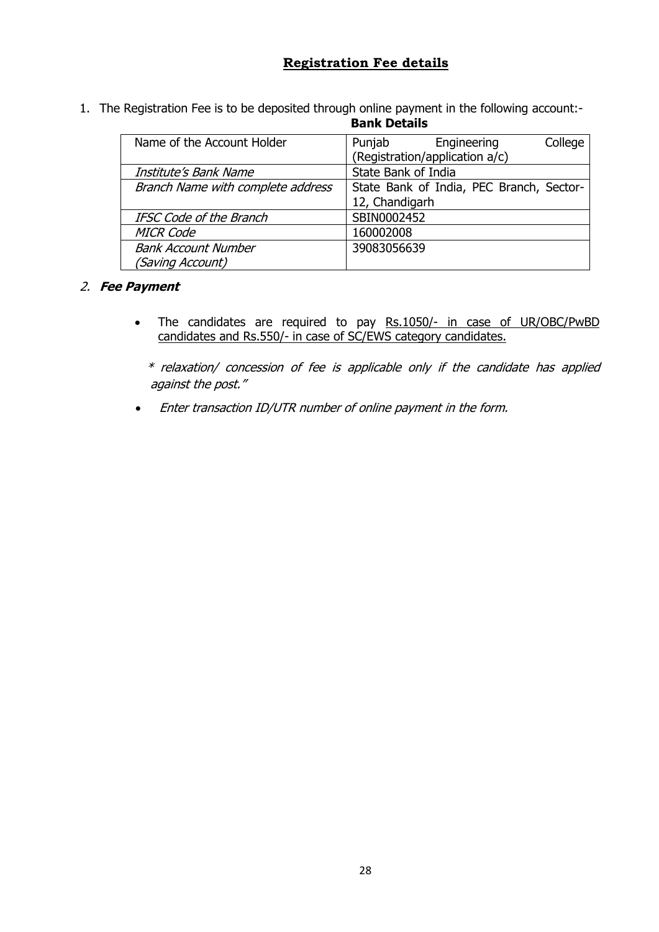#### **Registration Fee details**

1. The Registration Fee is to be deposited through online payment in the following account:-

**Bank Details**

| Name of the Account Holder        | College<br>Engineering<br>Punjab         |
|-----------------------------------|------------------------------------------|
|                                   | (Registration/application a/c)           |
| Institute's Bank Name             | State Bank of India                      |
| Branch Name with complete address | State Bank of India, PEC Branch, Sector- |
|                                   | 12, Chandigarh                           |
| <b>IFSC Code of the Branch</b>    | SBIN0002452                              |
| <b>MICR Code</b>                  | 160002008                                |
| <b>Bank Account Number</b>        | 39083056639                              |
| (Saving Account)                  |                                          |

#### 2. **Fee Payment**

• The candidates are required to pay Rs.1050/- in case of UR/OBC/PwBD candidates and Rs.550/- in case of SC/EWS category candidates.

\* relaxation/ concession of fee is applicable only if the candidate has applied against the post."

• Enter transaction ID/UTR number of online payment in the form.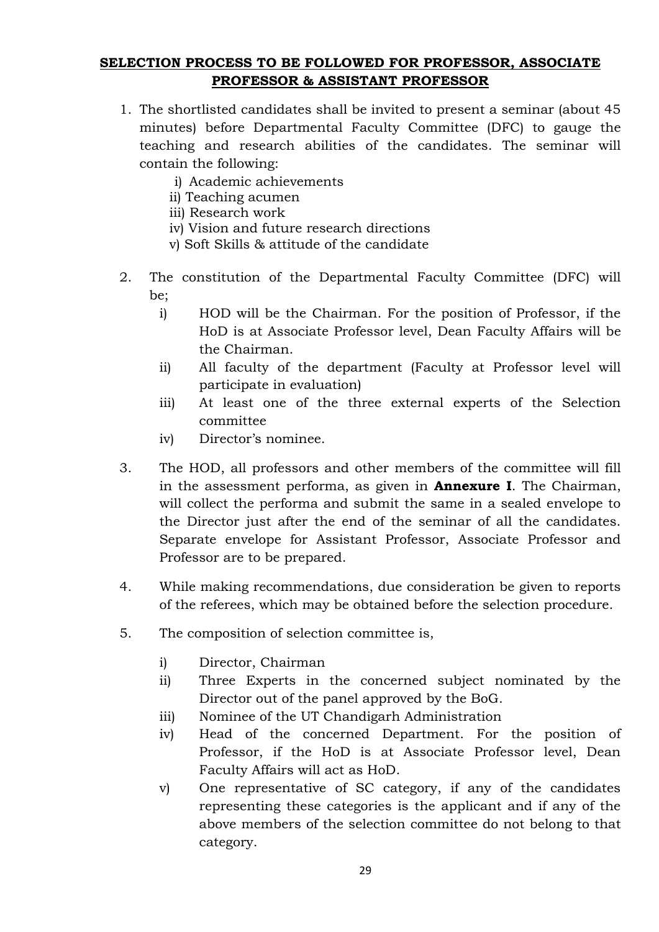#### **SELECTION PROCESS TO BE FOLLOWED FOR PROFESSOR, ASSOCIATE PROFESSOR & ASSISTANT PROFESSOR**

- 1. The shortlisted candidates shall be invited to present a seminar (about 45 minutes) before Departmental Faculty Committee (DFC) to gauge the teaching and research abilities of the candidates. The seminar will contain the following:
	- i) Academic achievements
	- ii) Teaching acumen
	- iii) Research work
	- iv) Vision and future research directions
	- v) Soft Skills & attitude of the candidate
- 2. The constitution of the Departmental Faculty Committee (DFC) will be;
	- i) HOD will be the Chairman. For the position of Professor, if the HoD is at Associate Professor level, Dean Faculty Affairs will be the Chairman.
	- ii) All faculty of the department (Faculty at Professor level will participate in evaluation)
	- iii) At least one of the three external experts of the Selection committee
	- iv) Director's nominee.
- 3. The HOD, all professors and other members of the committee will fill in the assessment performa, as given in **Annexure I**. The Chairman, will collect the performa and submit the same in a sealed envelope to the Director just after the end of the seminar of all the candidates. Separate envelope for Assistant Professor, Associate Professor and Professor are to be prepared.
- 4. While making recommendations, due consideration be given to reports of the referees, which may be obtained before the selection procedure.
- 5. The composition of selection committee is,
	- i) Director, Chairman
	- ii) Three Experts in the concerned subject nominated by the Director out of the panel approved by the BoG.
	- iii) Nominee of the UT Chandigarh Administration
	- iv) Head of the concerned Department. For the position of Professor, if the HoD is at Associate Professor level, Dean Faculty Affairs will act as HoD.
	- v) One representative of SC category, if any of the candidates representing these categories is the applicant and if any of the above members of the selection committee do not belong to that category.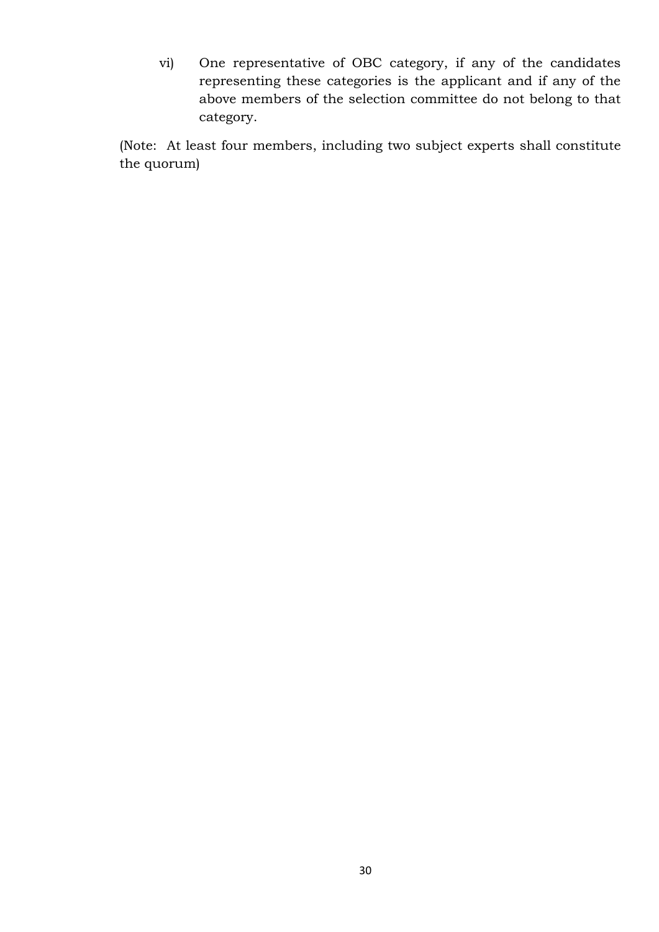vi) One representative of OBC category, if any of the candidates representing these categories is the applicant and if any of the above members of the selection committee do not belong to that category.

(Note: At least four members, including two subject experts shall constitute the quorum)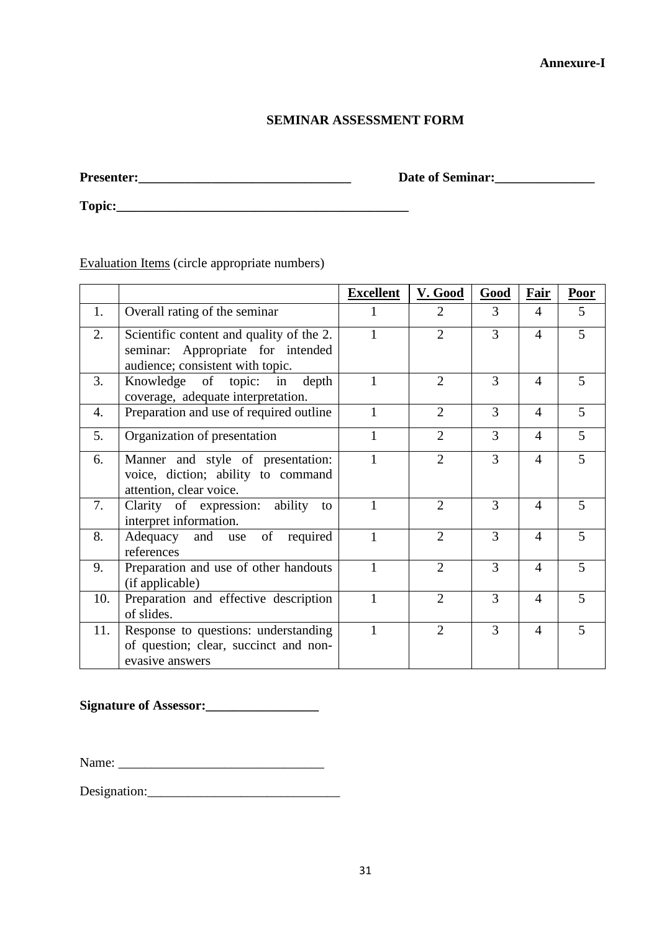#### **SEMINAR ASSESSMENT FORM**

**Presenter:\_\_\_\_\_\_\_\_\_\_\_\_\_\_\_\_\_\_\_\_\_\_\_\_\_\_\_\_\_\_\_\_ Date of Seminar:\_\_\_\_\_\_\_\_\_\_\_\_\_\_\_**

**Topic:\_\_\_\_\_\_\_\_\_\_\_\_\_\_\_\_\_\_\_\_\_\_\_\_\_\_\_\_\_\_\_\_\_\_\_\_\_\_\_\_\_\_\_\_**

Evaluation Items (circle appropriate numbers)

|     |                                                                                                                   | <b>Excellent</b> | V. Good        | Good | Fair           | <b>Poor</b> |
|-----|-------------------------------------------------------------------------------------------------------------------|------------------|----------------|------|----------------|-------------|
| 1.  | Overall rating of the seminar                                                                                     |                  | 2              | 3    | 4              | 5           |
| 2.  | Scientific content and quality of the 2.<br>seminar: Appropriate for intended<br>audience; consistent with topic. | 1                | $\overline{2}$ | 3    | $\overline{4}$ | 5           |
| 3.  | Knowledge of topic:<br>depth<br>in<br>coverage, adequate interpretation.                                          | 1                | $\overline{2}$ | 3    | $\overline{4}$ | 5           |
| 4.  | Preparation and use of required outline                                                                           | 1                | $\overline{2}$ | 3    | $\overline{4}$ | 5           |
| 5.  | Organization of presentation                                                                                      | 1                | $\overline{2}$ | 3    | $\overline{4}$ | 5           |
| 6.  | Manner and style of presentation:<br>voice, diction; ability to command<br>attention, clear voice.                | $\mathbf{1}$     | $\overline{2}$ | 3    | $\overline{4}$ | 5           |
| 7.  | Clarity of expression: ability to<br>interpret information.                                                       | 1                | $\overline{2}$ | 3    | 4              | 5           |
| 8.  | and use of<br>Adequacy<br>required<br>references                                                                  |                  | $\overline{2}$ | 3    | $\overline{4}$ | 5           |
| 9.  | Preparation and use of other handouts<br>(if applicable)                                                          | 1                | $\overline{2}$ | 3    | $\overline{4}$ | 5           |
| 10. | Preparation and effective description<br>of slides.                                                               | 1                | $\overline{2}$ | 3    | $\overline{4}$ | 5           |
| 11. | Response to questions: understanding<br>of question; clear, succinct and non-<br>evasive answers                  | 1                | $\overline{2}$ | 3    | $\overline{4}$ | 5           |

**Signature of Assessor:\_\_\_\_\_\_\_\_\_\_\_\_\_\_\_\_\_**

Name: \_\_\_\_\_\_\_\_\_\_\_\_\_\_\_\_\_\_\_\_\_\_\_\_\_\_\_\_\_\_\_

Designation:\_\_\_\_\_\_\_\_\_\_\_\_\_\_\_\_\_\_\_\_\_\_\_\_\_\_\_\_\_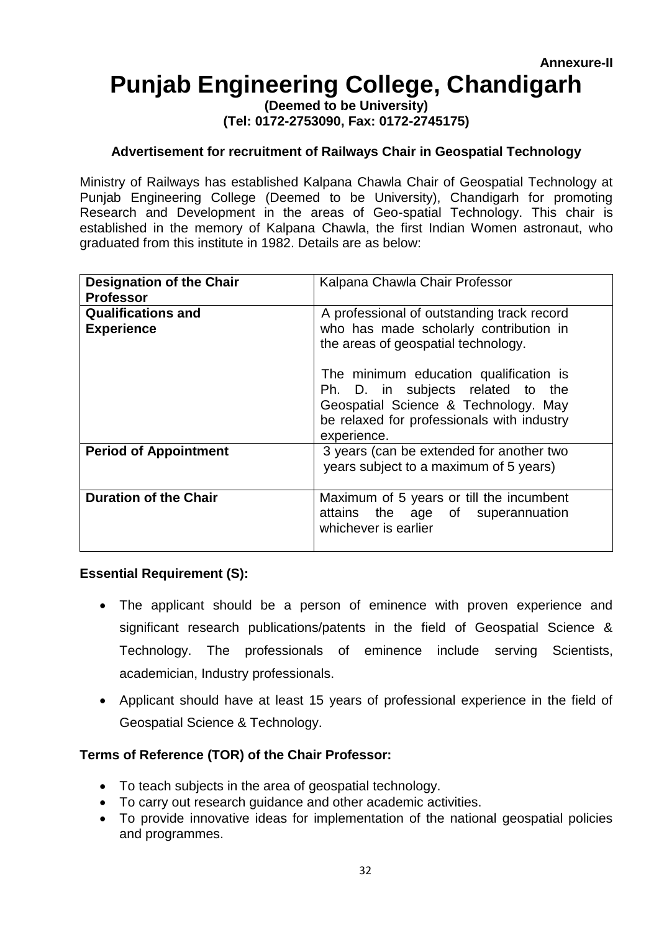# **Punjab Engineering College, Chandigarh**

**(Deemed to be University) (Tel: 0172-2753090, Fax: 0172-2745175)**

#### **Advertisement for recruitment of Railways Chair in Geospatial Technology**

Ministry of Railways has established Kalpana Chawla Chair of Geospatial Technology at Punjab Engineering College (Deemed to be University), Chandigarh for promoting Research and Development in the areas of Geo-spatial Technology. This chair is established in the memory of Kalpana Chawla, the first Indian Women astronaut, who graduated from this institute in 1982. Details are as below:

| <b>Designation of the Chair</b><br><b>Professor</b> | Kalpana Chawla Chair Professor                                                                                                                                                   |
|-----------------------------------------------------|----------------------------------------------------------------------------------------------------------------------------------------------------------------------------------|
| <b>Qualifications and</b><br><b>Experience</b>      | A professional of outstanding track record<br>who has made scholarly contribution in<br>the areas of geospatial technology.                                                      |
|                                                     | The minimum education qualification is<br>Ph. D. in subjects related to the<br>Geospatial Science & Technology. May<br>be relaxed for professionals with industry<br>experience. |
| <b>Period of Appointment</b>                        | 3 years (can be extended for another two<br>years subject to a maximum of 5 years)                                                                                               |
| <b>Duration of the Chair</b>                        | Maximum of 5 years or till the incumbent<br>attains the age of superannuation<br>whichever is earlier                                                                            |

#### **Essential Requirement (S):**

- The applicant should be a person of eminence with proven experience and significant research publications/patents in the field of Geospatial Science & Technology. The professionals of eminence include serving Scientists, academician, Industry professionals.
- Applicant should have at least 15 years of professional experience in the field of Geospatial Science & Technology.

#### **Terms of Reference (TOR) of the Chair Professor:**

- To teach subjects in the area of geospatial technology.
- To carry out research guidance and other academic activities.
- To provide innovative ideas for implementation of the national geospatial policies and programmes.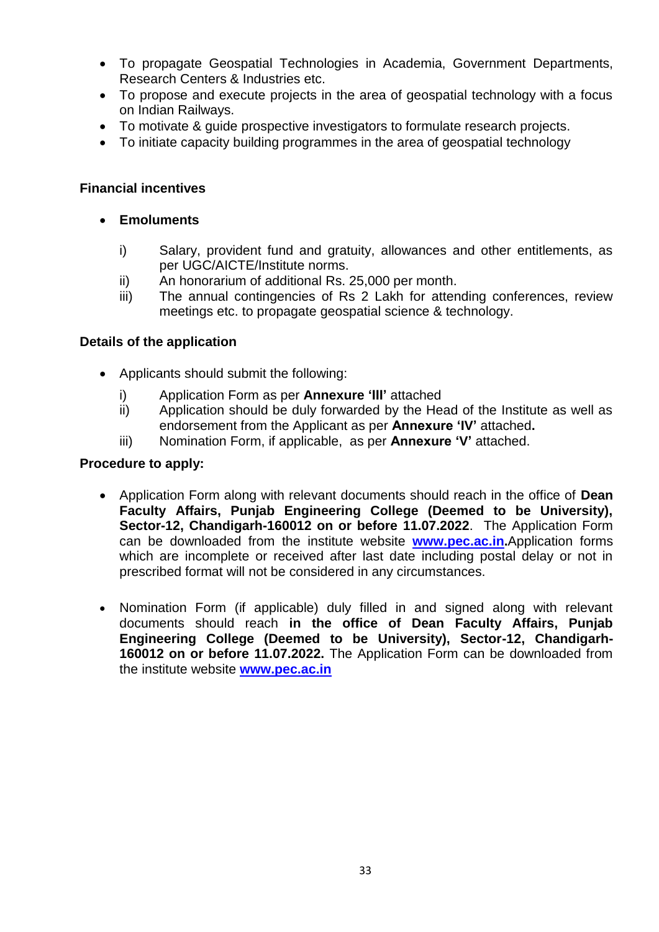- To propagate Geospatial Technologies in Academia, Government Departments, Research Centers & Industries etc.
- To propose and execute projects in the area of geospatial technology with a focus on Indian Railways.
- To motivate & guide prospective investigators to formulate research projects.
- To initiate capacity building programmes in the area of geospatial technology

#### **Financial incentives**

- **Emoluments**
	- i) Salary, provident fund and gratuity, allowances and other entitlements, as per UGC/AICTE/Institute norms.
	- ii) An honorarium of additional Rs. 25,000 per month.
	- iii) The annual contingencies of Rs 2 Lakh for attending conferences, review meetings etc. to propagate geospatial science & technology.

#### **Details of the application**

- Applicants should submit the following:
	- i) Application Form as per **Annexure 'III'** attached
	- ii) Application should be duly forwarded by the Head of the Institute as well as endorsement from the Applicant as per **Annexure 'IV'** attached**.**
	- iii) Nomination Form, if applicable, as per **Annexure 'V'** attached.

#### **Procedure to apply:**

- Application Form along with relevant documents should reach in the office of **Dean Faculty Affairs, Punjab Engineering College (Deemed to be University), Sector-12, Chandigarh-160012 on or before 11.07.2022**. The Application Form can be downloaded from the institute website **[www.pec.ac.in.](http://www.pec.ac.in/)**Application forms which are incomplete or received after last date including postal delay or not in prescribed format will not be considered in any circumstances.
- Nomination Form (if applicable) duly filled in and signed along with relevant documents should reach **in the office of Dean Faculty Affairs, Punjab Engineering College (Deemed to be University), Sector-12, Chandigarh-160012 on or before 11.07.2022.** The Application Form can be downloaded from the institute website **[www.pec.ac.in](http://www.pec.ac.in/)**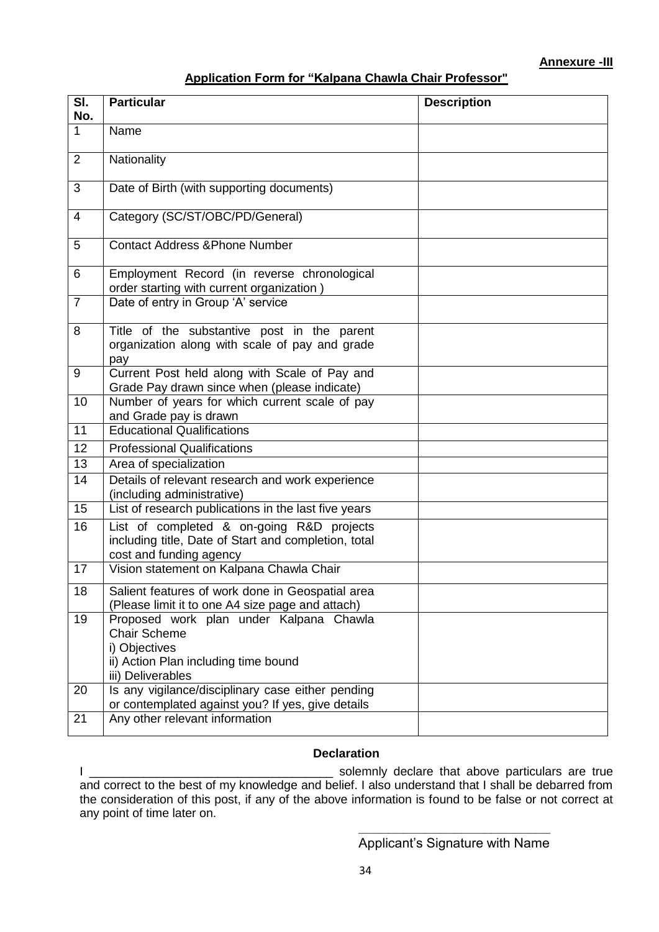#### **Application Form for "Kalpana Chawla Chair Professor"**

| SI.<br>No.     | <b>Particular</b>                                                                                                                            | <b>Description</b> |
|----------------|----------------------------------------------------------------------------------------------------------------------------------------------|--------------------|
| $\mathbf{1}$   | Name                                                                                                                                         |                    |
| 2              | Nationality                                                                                                                                  |                    |
| 3              | Date of Birth (with supporting documents)                                                                                                    |                    |
| $\overline{4}$ | Category (SC/ST/OBC/PD/General)                                                                                                              |                    |
| 5              | <b>Contact Address &amp; Phone Number</b>                                                                                                    |                    |
| 6              | Employment Record (in reverse chronological<br>order starting with current organization)                                                     |                    |
| $\overline{7}$ | Date of entry in Group 'A' service                                                                                                           |                    |
| 8              | Title of the substantive post in the parent<br>organization along with scale of pay and grade<br>pay                                         |                    |
| 9              | Current Post held along with Scale of Pay and<br>Grade Pay drawn since when (please indicate)                                                |                    |
| 10             | Number of years for which current scale of pay<br>and Grade pay is drawn                                                                     |                    |
| 11             | <b>Educational Qualifications</b>                                                                                                            |                    |
| 12             | <b>Professional Qualifications</b>                                                                                                           |                    |
| 13             | Area of specialization                                                                                                                       |                    |
| 14             | Details of relevant research and work experience<br>(including administrative)                                                               |                    |
| 15             | List of research publications in the last five years                                                                                         |                    |
| 16             | List of completed & on-going R&D projects<br>including title, Date of Start and completion, total<br>cost and funding agency                 |                    |
| 17             | Vision statement on Kalpana Chawla Chair                                                                                                     |                    |
| 18             | Salient features of work done in Geospatial area<br>(Please limit it to one A4 size page and attach)                                         |                    |
| 19             | Proposed work plan under Kalpana Chawla<br><b>Chair Scheme</b><br>i) Objectives<br>ii) Action Plan including time bound<br>iii) Deliverables |                    |
| 20             | Is any vigilance/disciplinary case either pending<br>or contemplated against you? If yes, give details                                       |                    |
| 21             | Any other relevant information                                                                                                               |                    |

#### **Declaration**

I \_\_\_\_\_\_\_\_\_\_\_\_\_\_\_\_\_\_\_\_\_\_\_\_\_\_\_\_\_\_\_\_\_\_\_\_ solemnly declare that above particulars are true and correct to the best of my knowledge and belief. I also understand that I shall be debarred from the consideration of this post, if any of the above information is found to be false or not correct at any point of time later on.

> **\_\_\_\_\_\_\_\_\_\_\_\_\_\_\_\_\_\_\_\_\_\_\_\_\_\_**  Applicant's Signature with Name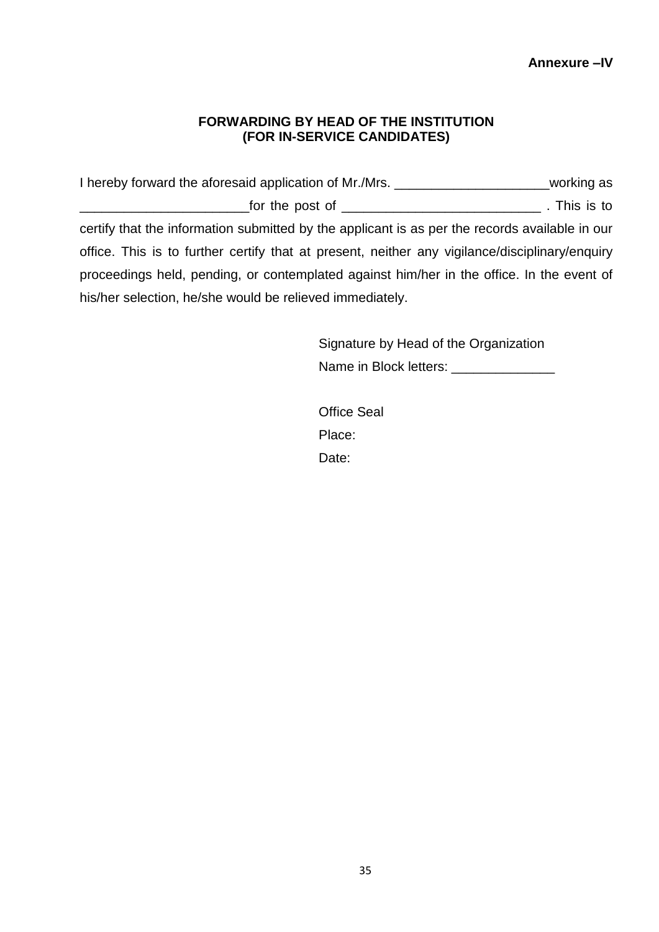**Annexure –IV**

#### **FORWARDING BY HEAD OF THE INSTITUTION (FOR IN-SERVICE CANDIDATES)**

I hereby forward the aforesaid application of Mr./Mrs. \_\_\_\_\_\_\_\_\_\_\_\_\_\_\_\_\_\_\_\_\_\_\_\_\_working as \_\_\_\_\_\_\_\_\_\_\_\_\_\_\_\_\_\_\_\_\_\_\_for the post of \_\_\_\_\_\_\_\_\_\_\_\_\_\_\_\_\_\_\_\_\_\_\_\_\_\_\_ . This is to certify that the information submitted by the applicant is as per the records available in our office. This is to further certify that at present, neither any vigilance/disciplinary/enquiry proceedings held, pending, or contemplated against him/her in the office. In the event of his/her selection, he/she would be relieved immediately.

> Signature by Head of the Organization Name in Block letters: \_\_\_\_\_\_\_\_\_\_\_\_\_\_\_\_\_\_

Office Seal Place: Date: